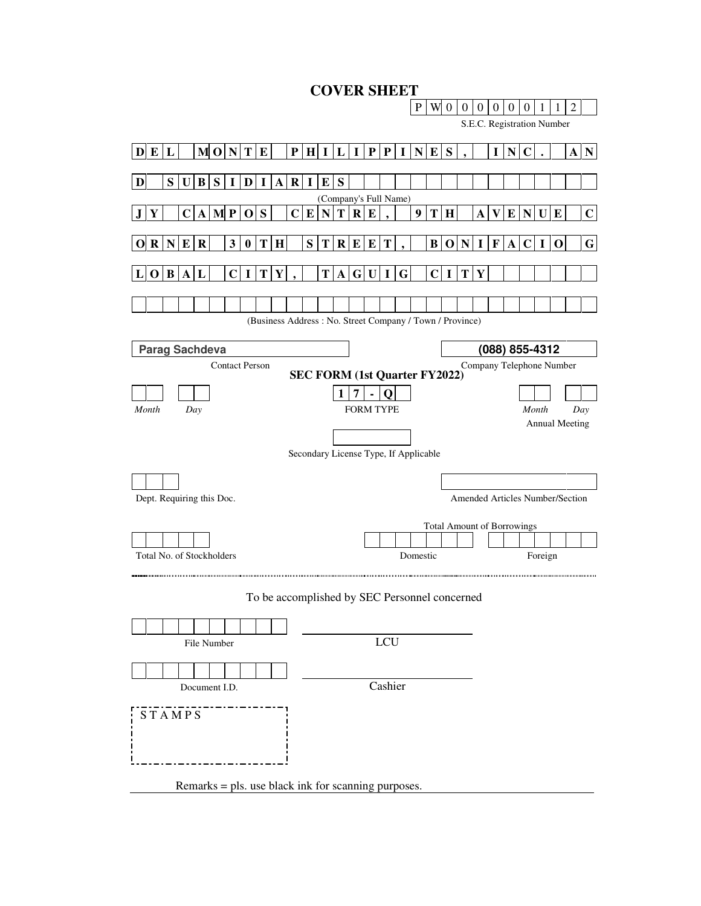| <b>COVER SHEET</b>                                                       |                                       |                       |                       |                                   |                           |   |                  |             |                |                |          |                |                |                                   |         |                                        |                |             |
|--------------------------------------------------------------------------|---------------------------------------|-----------------------|-----------------------|-----------------------------------|---------------------------|---|------------------|-------------|----------------|----------------|----------|----------------|----------------|-----------------------------------|---------|----------------------------------------|----------------|-------------|
|                                                                          |                                       |                       |                       |                                   |                           |   | $\mathbf{P}$     |             | W <sub>0</sub> | $\overline{0}$ | $\theta$ | $\overline{0}$ | $\overline{0}$ | $\overline{0}$                    | 1       | 1                                      | $\overline{2}$ |             |
|                                                                          |                                       |                       |                       |                                   |                           |   |                  |             |                |                |          |                |                |                                   |         | S.E.C. Registration Number             |                |             |
| $M$ O $N$ $T$ $E$<br>D E L                                               | $P$   $H$   $I$   $L$                 |                       |                       | $I$   $P$   $I$   $N$   $E$   $S$ |                           |   |                  |             |                |                |          | $\mathbf{I}$   | $\mathbf N$    | C                                 |         |                                        | $\mathbf A$    | $\mathbf N$ |
|                                                                          |                                       |                       |                       |                                   |                           |   |                  |             |                |                |          |                |                |                                   |         |                                        |                |             |
| S U B S<br>$\mathbf I$<br>$\bf{I}$<br>D<br>$\mathbf{A}$<br>D             | $R$ I $E$ S                           | (Company's Full Name) |                       |                                   |                           |   |                  |             |                |                |          |                |                |                                   |         |                                        |                |             |
| <b>MP</b><br>S<br>$\mathbf C$<br>$\mathbf{A}$<br>$\mathbf C$<br>$\bf{0}$ | $\bf{E}$                              | T<br>N                |                       | $R$ $E$                           |                           |   | $\boldsymbol{9}$ | T           | H              |                | A        | V              | $\bf{E}$       | $\mathbf N$                       | U       | $\bf{E}$                               |                | $\mathbf C$ |
|                                                                          |                                       |                       |                       |                                   |                           |   |                  |             |                |                |          |                |                |                                   |         |                                        |                |             |
| R N E R<br>3<br>$\bf{0}$<br>T H                                          | S                                     | T   R   E   E         |                       |                                   | T                         |   |                  |             | B O N          |                | I        | $\mathbf{F}$   |                | A C                               | 1       | $\bf{0}$                               |                | $\mathbf G$ |
| T.<br>Y<br>O B A <br>L<br>$\mathbf C$<br>1                               |                                       | T A                   |                       | G U                               | $\bf{I}$                  | G |                  | $\mathbf C$ | $\mathbf I$    | $\bf{T}$       | Y        |                |                |                                   |         |                                        |                |             |
|                                                                          |                                       |                       |                       |                                   |                           |   |                  |             |                |                |          |                |                |                                   |         |                                        |                |             |
| (Business Address: No. Street Company / Town / Province)                 |                                       |                       |                       |                                   |                           |   |                  |             |                |                |          |                |                |                                   |         |                                        |                |             |
| <b>Parag Sachdeva</b>                                                    |                                       |                       |                       |                                   |                           |   |                  |             |                |                |          |                |                | (088) 855-4312                    |         |                                        |                |             |
| <b>Contact Person</b>                                                    |                                       |                       |                       |                                   |                           |   |                  |             |                |                |          |                |                |                                   |         | Company Telephone Number               |                |             |
|                                                                          | <b>SEC FORM (1st Quarter FY2022)</b>  |                       |                       |                                   |                           |   |                  |             |                |                |          |                |                |                                   |         |                                        |                |             |
| Month<br>Day                                                             |                                       | 1                     | 7<br><b>FORM TYPE</b> |                                   | O                         |   |                  |             |                |                |          |                |                |                                   | Month   |                                        | Day            |             |
|                                                                          |                                       |                       |                       |                                   |                           |   |                  |             |                |                |          |                |                |                                   |         | <b>Annual Meeting</b>                  |                |             |
|                                                                          |                                       |                       |                       |                                   |                           |   |                  |             |                |                |          |                |                |                                   |         |                                        |                |             |
|                                                                          | Secondary License Type, If Applicable |                       |                       |                                   |                           |   |                  |             |                |                |          |                |                |                                   |         |                                        |                |             |
|                                                                          |                                       |                       |                       |                                   |                           |   |                  |             |                |                |          |                |                |                                   |         |                                        |                |             |
| Dept. Requiring this Doc.                                                |                                       |                       |                       |                                   |                           |   |                  |             |                |                |          |                |                |                                   |         | <b>Amended Articles Number/Section</b> |                |             |
|                                                                          |                                       |                       |                       |                                   |                           |   |                  |             |                |                |          |                |                | <b>Total Amount of Borrowings</b> |         |                                        |                |             |
| Total No. of Stockholders                                                |                                       |                       |                       |                                   |                           |   | Domestic         |             |                |                |          |                |                |                                   | Foreign |                                        |                |             |
|                                                                          |                                       |                       |                       |                                   |                           |   |                  |             |                |                |          |                |                |                                   |         |                                        |                |             |
| To be accomplished by SEC Personnel concerned                            |                                       |                       |                       |                                   |                           |   |                  |             |                |                |          |                |                |                                   |         |                                        |                |             |
|                                                                          |                                       |                       |                       |                                   |                           |   |                  |             |                |                |          |                |                |                                   |         |                                        |                |             |
| File Number                                                              |                                       |                       |                       |                                   | $\ensuremath{\text{LCU}}$ |   |                  |             |                |                |          |                |                |                                   |         |                                        |                |             |
|                                                                          |                                       |                       |                       |                                   |                           |   |                  |             |                |                |          |                |                |                                   |         |                                        |                |             |
| Document I.D.                                                            |                                       |                       |                       |                                   | Cashier                   |   |                  |             |                |                |          |                |                |                                   |         |                                        |                |             |
|                                                                          |                                       |                       |                       |                                   |                           |   |                  |             |                |                |          |                |                |                                   |         |                                        |                |             |
| <b>STAMPS</b>                                                            |                                       |                       |                       |                                   |                           |   |                  |             |                |                |          |                |                |                                   |         |                                        |                |             |
|                                                                          |                                       |                       |                       |                                   |                           |   |                  |             |                |                |          |                |                |                                   |         |                                        |                |             |
|                                                                          |                                       |                       |                       |                                   |                           |   |                  |             |                |                |          |                |                |                                   |         |                                        |                |             |
| Remarks = pls. use black ink for scanning purposes.                      |                                       |                       |                       |                                   |                           |   |                  |             |                |                |          |                |                |                                   |         |                                        |                |             |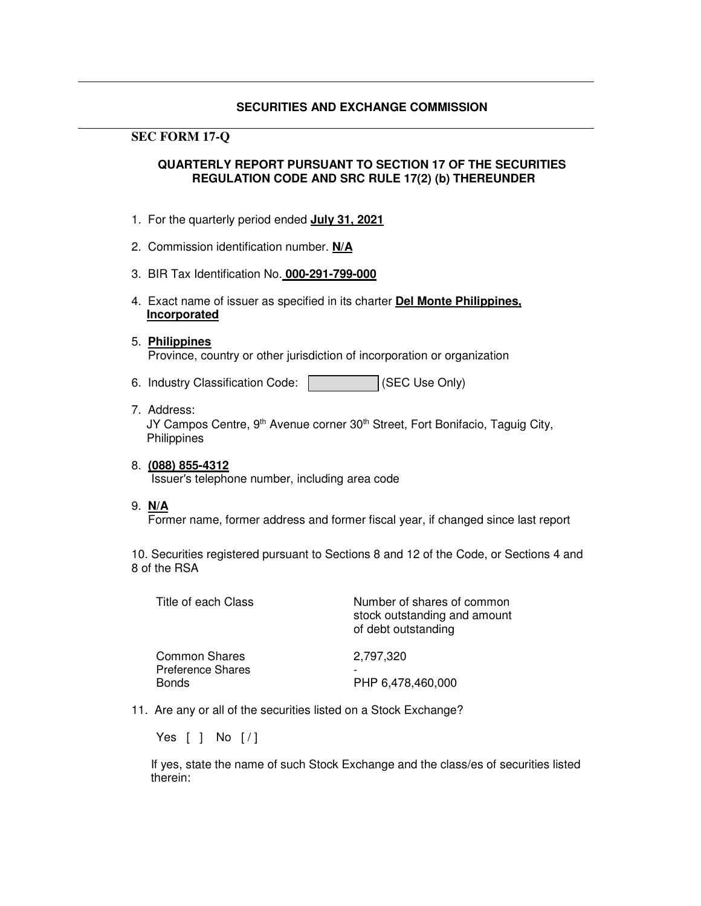## **SECURITIES AND EXCHANGE COMMISSION**

## **SEC FORM 17-Q**

## **QUARTERLY REPORT PURSUANT TO SECTION 17 OF THE SECURITIES REGULATION CODE AND SRC RULE 17(2) (b) THEREUNDER**

- 1. For the quarterly period ended **July 31, 2021**
- 2. Commission identification number. **N/A**
- 3. BIR Tax Identification No. **000-291-799-000**
- 4. Exact name of issuer as specified in its charter **Del Monte Philippines, Incorporated**
- 5. **Philippines** Province, country or other jurisdiction of incorporation or organization
- 6. Industry Classification Code: (SEC Use Only)
- 7. Address: JY Campos Centre, 9<sup>th</sup> Avenue corner 30<sup>th</sup> Street, Fort Bonifacio, Taguig City, **Philippines**
- 8. **(088) 855-4312** Issuer's telephone number, including area code
- 9. **N/A**

Former name, former address and former fiscal year, if changed since last report

10. Securities registered pursuant to Sections 8 and 12 of the Code, or Sections 4 and 8 of the RSA

| Title of each Class                                              | Number of shares of common<br>stock outstanding and amount<br>of debt outstanding |
|------------------------------------------------------------------|-----------------------------------------------------------------------------------|
| <b>Common Shares</b><br><b>Preference Shares</b><br><b>Bonds</b> | 2,797,320<br>PHP 6,478,460,000                                                    |

11. Are any or all of the securities listed on a Stock Exchange?

Yes [ ] No [/]

If yes, state the name of such Stock Exchange and the class/es of securities listed therein: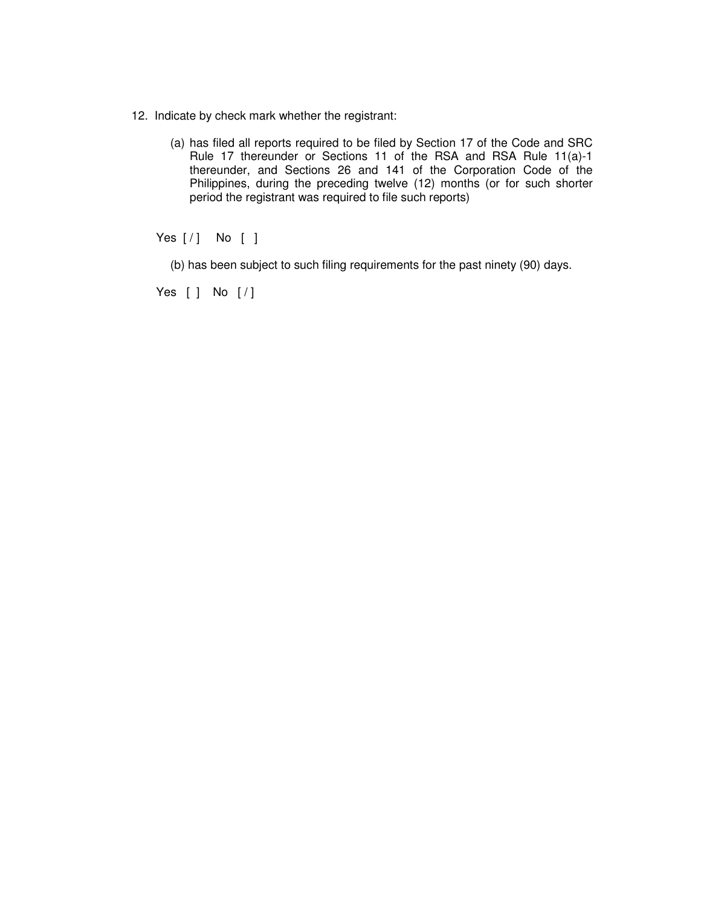- 12. Indicate by check mark whether the registrant:
	- (a) has filed all reports required to be filed by Section 17 of the Code and SRC Rule 17 thereunder or Sections 11 of the RSA and RSA Rule 11(a)-1 thereunder, and Sections 26 and 141 of the Corporation Code of the Philippines, during the preceding twelve (12) months (or for such shorter period the registrant was required to file such reports)

Yes [/] No [ ]

(b) has been subject to such filing requirements for the past ninety (90) days.

Yes [ ] No [ / ]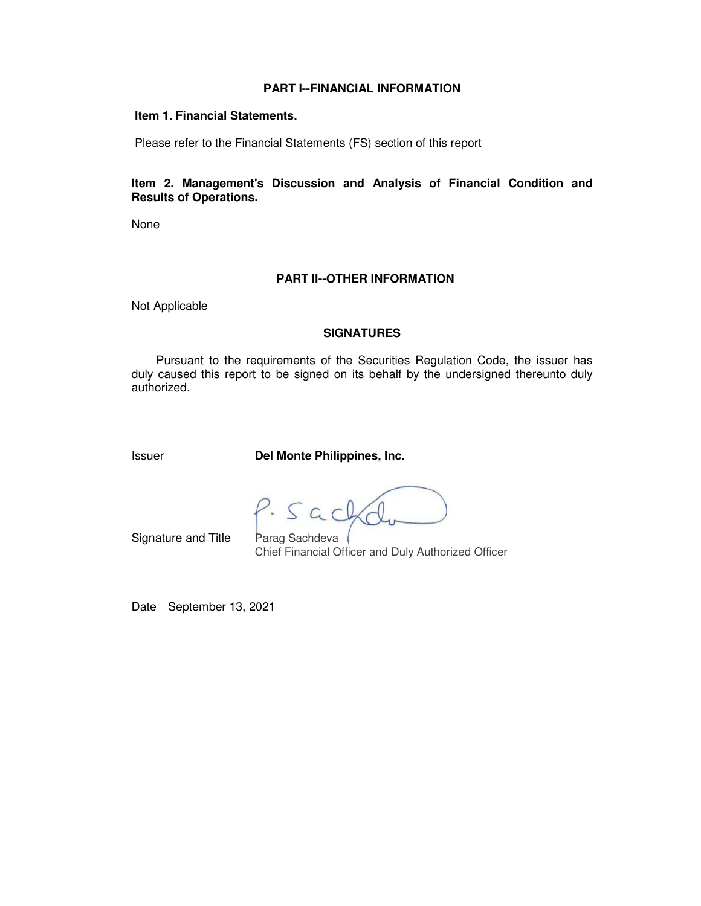### **PART I--FINANCIAL INFORMATION**

#### **Item 1. Financial Statements.**

Please refer to the Financial Statements (FS) section of this report

## **Item 2. Management's Discussion and Analysis of Financial Condition and Results of Operations.**

None

## **PART II--OTHER INFORMATION**

Not Applicable

#### **SIGNATURES**

 Pursuant to the requirements of the Securities Regulation Code, the issuer has duly caused this report to be signed on its behalf by the undersigned thereunto duly authorized.

Issuer **Del Monte Philippines, Inc.**

P. Sach

Signature and Title Parag Sachdeva Chief Financial Officer and Duly Authorized Officer

Date September 13, 2021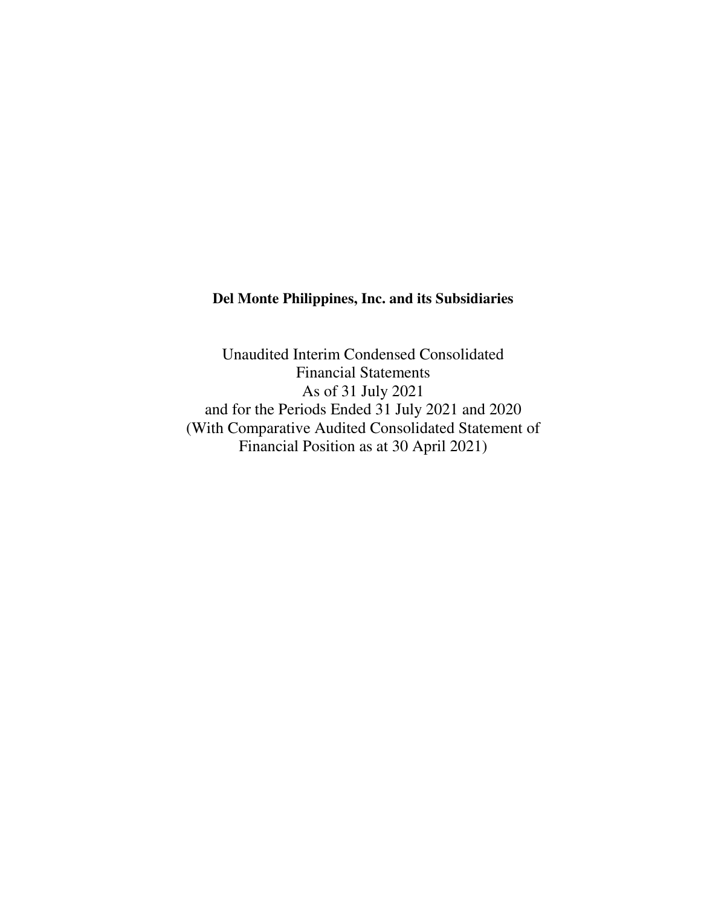# **Del Monte Philippines, Inc. and its Subsidiaries**

Unaudited Interim Condensed Consolidated Financial Statements As of 31 July 2021 and for the Periods Ended 31 July 2021 and 2020 (With Comparative Audited Consolidated Statement of Financial Position as at 30 April 2021)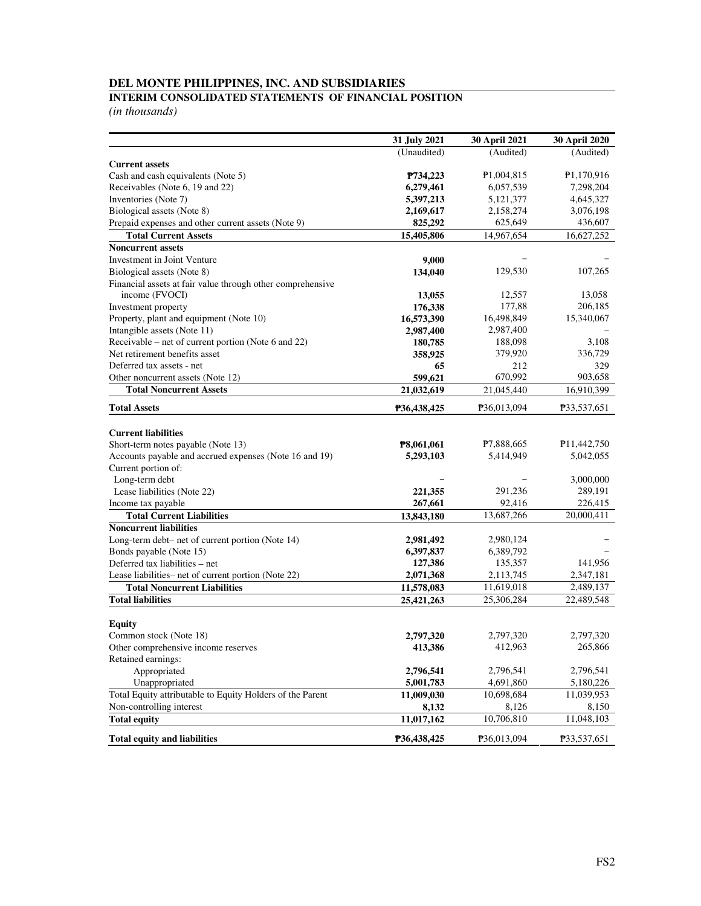#### **INTERIM CONSOLIDATED STATEMENTS OF FINANCIAL POSITION**

|                                                                                      | 31 July 2021             | 30 April 2021           | 30 April 2020            |
|--------------------------------------------------------------------------------------|--------------------------|-------------------------|--------------------------|
|                                                                                      | (Unaudited)              | (Audited)               | (Audited)                |
| <b>Current assets</b>                                                                |                          |                         |                          |
| Cash and cash equivalents (Note 5)                                                   | P734,223                 | P1,004,815              | P1,170,916               |
| Receivables (Note 6, 19 and 22)                                                      | 6,279,461                | 6,057,539               | 7,298,204                |
| Inventories (Note 7)                                                                 | 5,397,213                | 5,121,377               | 4,645,327                |
| Biological assets (Note 8)                                                           | 2,169,617                | 2,158,274               | 3,076,198                |
| Prepaid expenses and other current assets (Note 9)                                   | 825,292                  | 625,649                 | 436,607                  |
| <b>Total Current Assets</b>                                                          | 15,405,806               | 14,967,654              | 16,627,252               |
| <b>Noncurrent assets</b>                                                             |                          |                         |                          |
| Investment in Joint Venture                                                          | 9,000                    |                         |                          |
| Biological assets (Note 8)                                                           | 134,040                  | 129,530                 | 107,265                  |
| Financial assets at fair value through other comprehensive                           |                          |                         |                          |
| income (FVOCI)                                                                       | 13,055                   | 12,557                  | 13,058                   |
| Investment property                                                                  | 176,338                  | 177,88                  | 206,185                  |
| Property, plant and equipment (Note 10)<br>Intangible assets (Note 11)               | 16,573,390               | 16,498,849              | 15,340,067               |
|                                                                                      | 2,987,400                | 2,987,400<br>188,098    |                          |
| Receivable – net of current portion (Note 6 and 22)<br>Net retirement benefits asset | 180,785                  | 379,920                 | 3,108<br>336,729         |
| Deferred tax assets - net                                                            | 358,925                  |                         |                          |
| Other noncurrent assets (Note 12)                                                    | 65                       | 212<br>670,992          | 329<br>903,658           |
| <b>Total Noncurrent Assets</b>                                                       | 599,621                  |                         |                          |
|                                                                                      | 21,032,619               | 21,045,440              | 16,910,399               |
| <b>Total Assets</b>                                                                  | P36,438,425              | P36,013,094             | P33,537,651              |
|                                                                                      |                          |                         |                          |
| <b>Current liabilities</b>                                                           |                          |                         |                          |
| Short-term notes payable (Note 13)                                                   | P8,061,061               | P7,888,665              | P <sub>11</sub> ,442,750 |
| Accounts payable and accrued expenses (Note 16 and 19)                               | 5,293,103                | 5,414,949               | 5,042,055                |
| Current portion of:                                                                  |                          |                         |                          |
| Long-term debt                                                                       | 221,355                  | 291,236                 | 3,000,000<br>289,191     |
| Lease liabilities (Note 22)                                                          | 267,661                  | 92,416                  | 226,415                  |
| Income tax payable<br><b>Total Current Liabilities</b>                               |                          | 13,687,266              | 20,000,411               |
| <b>Noncurrent liabilities</b>                                                        | 13,843,180               |                         |                          |
|                                                                                      |                          |                         |                          |
| Long-term debt- net of current portion (Note 14)                                     | 2,981,492                | 2,980,124               |                          |
| Bonds payable (Note 15)<br>Deferred tax liabilities - net                            | 6,397,837                | 6,389,792               | 141,956                  |
| Lease liabilities- net of current portion (Note 22)                                  | 127,386<br>2,071,368     | 135,357                 |                          |
| <b>Total Noncurrent Liabilities</b>                                                  |                          | 2,113,745<br>11,619,018 | 2,347,181<br>2,489,137   |
| <b>Total liabilities</b>                                                             | 11,578,083<br>25,421,263 | 25,306,284              | 22,489,548               |
|                                                                                      |                          |                         |                          |
| <b>Equity</b>                                                                        |                          |                         |                          |
| Common stock (Note 18)                                                               | 2,797,320                | 2,797,320               | 2,797,320                |
| Other comprehensive income reserves                                                  | 413,386                  | 412,963                 | 265,866                  |
| Retained earnings:                                                                   |                          |                         |                          |
| Appropriated                                                                         | 2,796,541                | 2,796,541               | 2,796,541                |
| Unappropriated                                                                       | 5,001,783                | 4,691,860               | 5,180,226                |
| Total Equity attributable to Equity Holders of the Parent                            | 11,009,030               | 10,698,684              | 11,039,953               |
| Non-controlling interest                                                             | 8.132                    | 8,126                   | 8,150                    |
| <b>Total equity</b>                                                                  | 11,017,162               | 10,706,810              | 11,048,103               |
| <b>Total equity and liabilities</b>                                                  | P36,438,425              | P36,013,094             | P33,537,651              |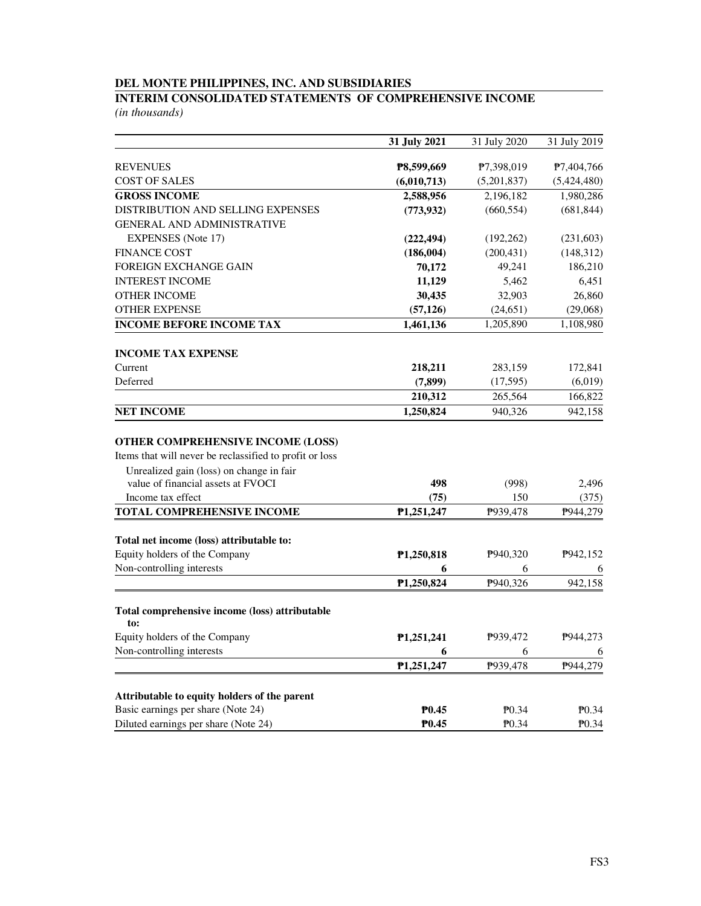## **INTERIM CONSOLIDATED STATEMENTS OF COMPREHENSIVE INCOME**

|                                                                                                                                          | 31 July 2021            | 31 July 2020 | 31 July 2019 |
|------------------------------------------------------------------------------------------------------------------------------------------|-------------------------|--------------|--------------|
| <b>REVENUES</b>                                                                                                                          | P8,599,669              | P7,398,019   | P7,404,766   |
| <b>COST OF SALES</b>                                                                                                                     | (6,010,713)             | (5,201,837)  | (5,424,480)  |
| <b>GROSS INCOME</b>                                                                                                                      | 2,588,956               | 2,196,182    | 1,980,286    |
| DISTRIBUTION AND SELLING EXPENSES                                                                                                        | (773, 932)              | (660, 554)   | (681, 844)   |
| <b>GENERAL AND ADMINISTRATIVE</b>                                                                                                        |                         |              |              |
| <b>EXPENSES</b> (Note 17)                                                                                                                | (222, 494)              | (192, 262)   | (231, 603)   |
| <b>FINANCE COST</b>                                                                                                                      | (186,004)               | (200, 431)   | (148, 312)   |
| <b>FOREIGN EXCHANGE GAIN</b>                                                                                                             | 70,172                  | 49,241       | 186,210      |
| <b>INTEREST INCOME</b>                                                                                                                   | 11,129                  | 5,462        | 6,451        |
| <b>OTHER INCOME</b>                                                                                                                      | 30,435                  | 32,903       | 26,860       |
| <b>OTHER EXPENSE</b>                                                                                                                     | (57, 126)               | (24, 651)    | (29,068)     |
| <b>INCOME BEFORE INCOME TAX</b>                                                                                                          | 1,461,136               | 1,205,890    | 1,108,980    |
| <b>INCOME TAX EXPENSE</b>                                                                                                                |                         |              |              |
| Current                                                                                                                                  | 218,211                 | 283,159      | 172,841      |
| Deferred                                                                                                                                 | (7, 899)                | (17, 595)    | (6,019)      |
|                                                                                                                                          | 210,312                 | 265,564      | 166,822      |
| <b>NET INCOME</b>                                                                                                                        | 1,250,824               | 940,326      | 942,158      |
| OTHER COMPREHENSIVE INCOME (LOSS)<br>Items that will never be reclassified to profit or loss<br>Unrealized gain (loss) on change in fair |                         |              |              |
| value of financial assets at FVOCI                                                                                                       | 498                     | (998)        | 2,496        |
| Income tax effect                                                                                                                        | (75)                    | 150          | (375)        |
| TOTAL COMPREHENSIVE INCOME                                                                                                               | P1,251,247              | P939,478     | P944,279     |
| Total net income (loss) attributable to:                                                                                                 |                         |              |              |
| Equity holders of the Company                                                                                                            | P1,250,818              | P940,320     | P942,152     |
| Non-controlling interests                                                                                                                | 6                       | 6            | 6            |
|                                                                                                                                          | P <sub>1</sub> ,250,824 | P940,326     | 942,158      |
| Total comprehensive income (loss) attributable<br>to:                                                                                    |                         |              |              |
| Equity holders of the Company                                                                                                            | P1,251,241              | P939,472     | P944,273     |
| Non-controlling interests                                                                                                                | 6                       | 6            | 6            |
|                                                                                                                                          | P1,251,247              | P939,478     | P944,279     |
| Attributable to equity holders of the parent                                                                                             |                         |              |              |
| Basic earnings per share (Note 24)                                                                                                       | P <sub>0.45</sub>       | $P_{0.34}$   | $P_{0.34}$   |
| Diluted earnings per share (Note 24)                                                                                                     | P <sub>0.45</sub>       | $P_{0.34}$   | $P_{0.34}$   |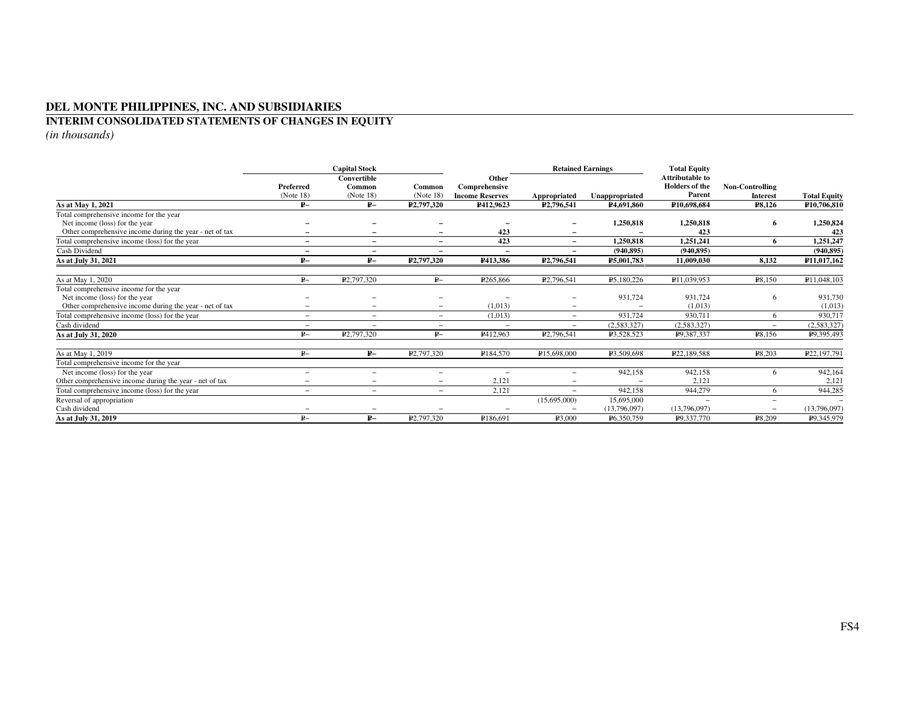#### **INTERIM CONSOLIDATED STATEMENTS OF CHANGES IN EQUITY**

|                                                         | <b>Capital Stock</b>     |                          |                          | <b>Retained Earnings</b> |                          |                        | <b>Total Equity</b>                      |                          |                     |
|---------------------------------------------------------|--------------------------|--------------------------|--------------------------|--------------------------|--------------------------|------------------------|------------------------------------------|--------------------------|---------------------|
|                                                         | Preferred                | Convertible<br>Common    | Common                   | Other<br>Comprehensive   |                          |                        | Attributable to<br><b>Holders of the</b> | <b>Non-Controlling</b>   |                     |
|                                                         | (Note 18)                | (Note 18)                | (Note 18)                | <b>Income Reserves</b>   | <b>Appropriated</b>      | Unappropriated         | Parent                                   | <b>Interest</b>          | <b>Total Equity</b> |
| As at May 1, 2021                                       | $P-$                     | $P-$                     | P <sub>2</sub> ,797,320  | P412,9623                | P <sub>2</sub> ,796,541  | P <sub>4.691.860</sub> | P10.698.684                              | P8,126                   | P10,706,810         |
| Total comprehensive income for the year                 |                          |                          |                          |                          |                          |                        |                                          |                          |                     |
| Net income (loss) for the year                          |                          |                          |                          |                          | -                        | 1,250,818              | 1,250,818                                | 6                        | 1,250,824           |
| Other comprehensive income during the year - net of tax |                          |                          |                          | 423                      | -                        |                        | 423                                      |                          | 423                 |
| Total comprehensive income (loss) for the year          | $\overline{\phantom{0}}$ | $\overline{\phantom{a}}$ | $\overline{\phantom{0}}$ | 423                      | $\overline{\phantom{0}}$ | 1,250,818              | 1,251,241                                | 6                        | 1,251,247           |
| Cash Dividend                                           | $\overline{\phantom{0}}$ |                          | $\overline{\phantom{0}}$ |                          | $\overline{\phantom{0}}$ | (940, 895)             | (940.895)                                |                          | (940, 895)          |
| As at July 31, 2021                                     | $P-$                     | $P-$                     | P2,797,320               | P413,386                 | P <sub>2</sub> ,796,541  | P5.001.783             | 11.009.030                               | 8,132                    | P11,017,162         |
| As at May 1, 2020                                       | $P-$                     | P <sub>2</sub> ,797,320  | ₽–                       | P <sub>265</sub> ,866    | P <sub>2</sub> ,796,541  | P5,180,226             | P11,039,953                              | P8,150                   | P11,048,103         |
| Total comprehensive income for the year                 |                          |                          |                          |                          |                          |                        |                                          |                          |                     |
| Net income (loss) for the year                          |                          |                          |                          |                          |                          | 931,724                | 931,724                                  | 6                        | 931,730             |
| Other comprehensive income during the year - net of tax | $\overline{\phantom{0}}$ |                          |                          | (1,013)                  | -                        |                        | (1.013)                                  |                          | (1,013)             |
| Total comprehensive income (loss) for the year          | $\equiv$                 | $\overline{\phantom{0}}$ | $\overline{\phantom{a}}$ | (1,013)                  | $\equiv$                 | 931,724                | 930,711                                  | 6                        | 930,717             |
| Cash dividend                                           | $\equiv$                 |                          | $\overline{\phantom{a}}$ | $\overline{\phantom{0}}$ | $-$                      | (2,583,327)            | (2,583,327)                              | $\equiv$                 | (2, 583, 327)       |
| As at July 31, 2020                                     | $P-$                     | P <sub>2</sub> ,797,320  | ₽–                       | P412,963                 | P <sub>2</sub> ,796,541  | P3,528,523             | P9,387,337                               | ₽8,156                   | P9,395,493          |
| As at May 1, 2019                                       | $P-$                     | $P-$                     | P <sub>2</sub> ,797,320  | P184,570                 | P15,698,000              | P <sub>3.509.698</sub> | P <sub>22</sub> ,189,588                 | ₽8,203                   | P22,197,791         |
| Total comprehensive income for the year                 |                          |                          |                          |                          |                          |                        |                                          |                          |                     |
| Net income (loss) for the year                          | $\equiv$                 | $\qquad \qquad =$        | $\overline{\phantom{0}}$ | $\overline{\phantom{0}}$ | $\overline{\phantom{0}}$ | 942,158                | 942,158                                  | -6                       | 942,164             |
| Other comprehensive income during the year - net of tax | $\equiv$                 | $\overline{\phantom{0}}$ |                          | 2,121                    | -                        |                        | 2,121                                    |                          | 2,12                |
| Total comprehensive income (loss) for the year          | $\equiv$                 | $\overline{\phantom{m}}$ | $\overline{\phantom{a}}$ | 2,121                    | $=$                      | 942.158                | 944,279                                  | 6                        | 944,285             |
| Reversal of appropriation                               |                          |                          |                          |                          | (15,695,000)             | 15,695,000             |                                          | $\overline{\phantom{a}}$ |                     |
| Cash dividend                                           | -                        | $\qquad \qquad -$        |                          |                          |                          | (13,796,097)           | (13,796,097)                             | $\overline{\phantom{0}}$ | (13,796,097)        |
| As at July 31, 2019                                     | $P-$                     | $P-$                     | P <sub>2</sub> ,797,320  | P186,691                 | ₽3,000                   | P6,350,759             | P9,337,770                               | ₽8,209                   | P9,345,979          |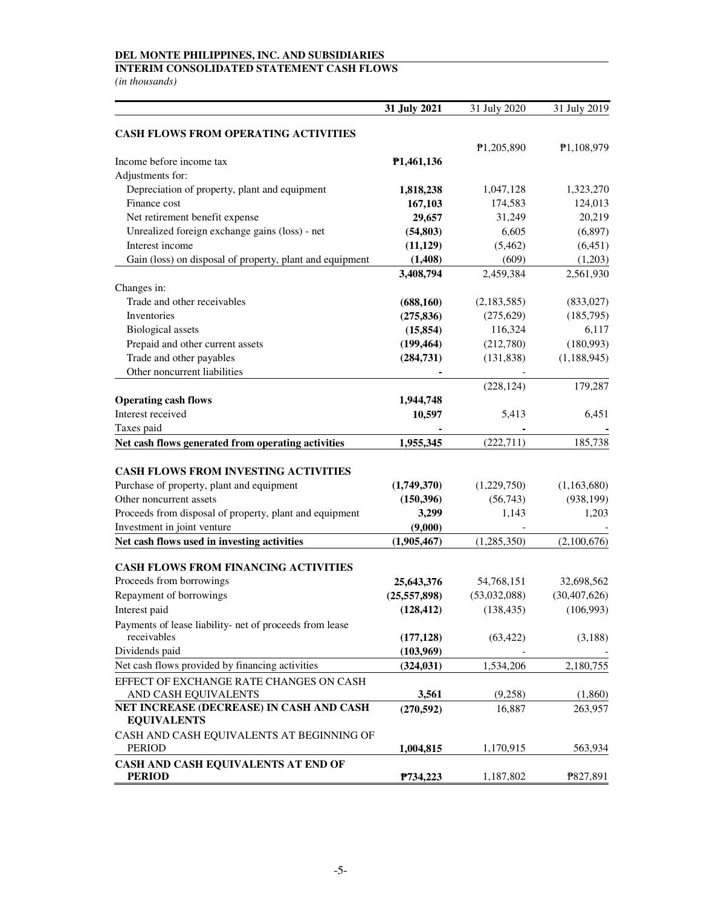## **INTERIM CONSOLIDATED STATEMENT CASH FLOWS**

|                                                                | 31 July 2021   | 31 July 2020            | 31 July 2019   |
|----------------------------------------------------------------|----------------|-------------------------|----------------|
| <b>CASH FLOWS FROM OPERATING ACTIVITIES</b>                    |                |                         |                |
|                                                                |                | P <sub>1</sub> ,205,890 | ₱1,108,979     |
| Income before income tax                                       | P1,461,136     |                         |                |
| Adjustments for:                                               |                |                         |                |
| Depreciation of property, plant and equipment                  | 1,818,238      | 1,047,128               | 1,323,270      |
| Finance cost                                                   | 167,103        | 174,583                 | 124,013        |
| Net retirement benefit expense                                 | 29,657         | 31,249                  | 20,219         |
| Unrealized foreign exchange gains (loss) - net                 | (54, 803)      | 6,605                   | (6,897)        |
| Interest income                                                | (11, 129)      | (5, 462)                | (6, 451)       |
| Gain (loss) on disposal of property, plant and equipment       | (1, 408)       | (609)                   | (1,203)        |
|                                                                | 3,408,794      | 2,459,384               | 2,561,930      |
| Changes in:                                                    |                |                         |                |
| Trade and other receivables                                    | (688, 160)     | (2,183,585)             | (833, 027)     |
| Inventories                                                    | (275, 836)     | (275, 629)              | (185,795)      |
| <b>Biological</b> assets                                       | (15, 854)      | 116,324                 | 6,117          |
| Prepaid and other current assets                               | (199, 464)     | (212,780)               | (180,993)      |
| Trade and other payables                                       | (284, 731)     | (131, 838)              | (1,188,945)    |
| Other noncurrent liabilities                                   |                |                         |                |
|                                                                |                | (228, 124)              | 179,287        |
| <b>Operating cash flows</b>                                    | 1,944,748      |                         |                |
| Interest received                                              | 10,597         | 5,413                   | 6,451          |
| Taxes paid                                                     |                |                         |                |
| Net cash flows generated from operating activities             | 1,955,345      | (222, 711)              | 185,738        |
|                                                                |                |                         |                |
| <b>CASH FLOWS FROM INVESTING ACTIVITIES</b>                    |                |                         |                |
| Purchase of property, plant and equipment                      | (1,749,370)    | (1,229,750)             | (1,163,680)    |
| Other noncurrent assets                                        | (150, 396)     | (56,743)                | (938, 199)     |
| Proceeds from disposal of property, plant and equipment        | 3,299          | 1,143                   | 1,203          |
| Investment in joint venture                                    | (9,000)        |                         |                |
| Net cash flows used in investing activities                    | (1,905,467)    | (1,285,350)             | (2,100,676)    |
|                                                                |                |                         |                |
| <b>CASH FLOWS FROM FINANCING ACTIVITIES</b>                    |                |                         |                |
| Proceeds from borrowings                                       | 25,643,376     | 54,768,151              | 32,698,562     |
| Repayment of borrowings                                        | (25, 557, 898) | (53,032,088)            | (30, 407, 626) |
| Interest paid                                                  | (128, 412)     | (138, 435)              | (106,993)      |
| Payments of lease liability- net of proceeds from lease        |                |                         |                |
| receivables                                                    | (177, 128)     | (63, 422)               | (3,188)        |
| Dividends paid                                                 | (103,969)      |                         |                |
| Net cash flows provided by financing activities                | (324, 031)     | 1,534,206               | 2,180,755      |
| EFFECT OF EXCHANGE RATE CHANGES ON CASH                        |                |                         |                |
| AND CASH EQUIVALENTS                                           | 3,561          | (9,258)                 | (1,860)        |
| NET INCREASE (DECREASE) IN CASH AND CASH<br><b>EQUIVALENTS</b> | (270, 592)     | 16,887                  | 263,957        |
| CASH AND CASH EQUIVALENTS AT BEGINNING OF                      |                |                         |                |
| <b>PERIOD</b>                                                  | 1,004,815      | 1,170,915               | 563,934        |
| CASH AND CASH EQUIVALENTS AT END OF                            |                |                         |                |
| <b>PERIOD</b>                                                  | P734,223       | 1,187,802               | P827,891       |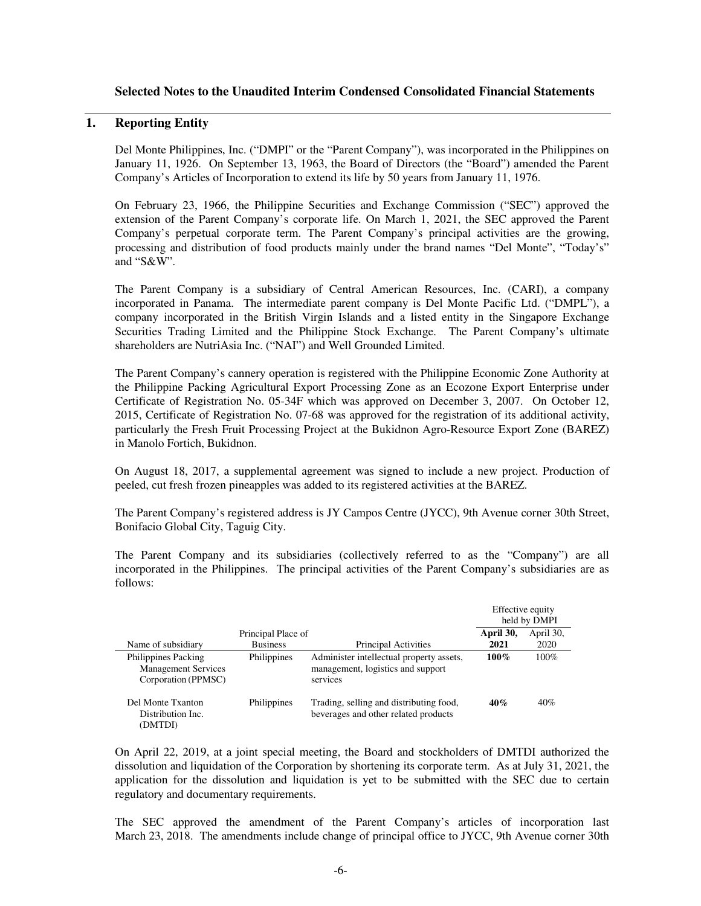## **Selected Notes to the Unaudited Interim Condensed Consolidated Financial Statements**

## **1. Reporting Entity**

Del Monte Philippines, Inc. ("DMPI" or the "Parent Company"), was incorporated in the Philippines on January 11, 1926. On September 13, 1963, the Board of Directors (the "Board") amended the Parent Company's Articles of Incorporation to extend its life by 50 years from January 11, 1976.

On February 23, 1966, the Philippine Securities and Exchange Commission ("SEC") approved the extension of the Parent Company's corporate life. On March 1, 2021, the SEC approved the Parent Company's perpetual corporate term. The Parent Company's principal activities are the growing, processing and distribution of food products mainly under the brand names "Del Monte", "Today's" and "S&W".

The Parent Company is a subsidiary of Central American Resources, Inc. (CARI), a company incorporated in Panama. The intermediate parent company is Del Monte Pacific Ltd. ("DMPL"), a company incorporated in the British Virgin Islands and a listed entity in the Singapore Exchange Securities Trading Limited and the Philippine Stock Exchange. The Parent Company's ultimate shareholders are NutriAsia Inc. ("NAI") and Well Grounded Limited.

The Parent Company's cannery operation is registered with the Philippine Economic Zone Authority at the Philippine Packing Agricultural Export Processing Zone as an Ecozone Export Enterprise under Certificate of Registration No. 05-34F which was approved on December 3, 2007. On October 12, 2015, Certificate of Registration No. 07-68 was approved for the registration of its additional activity, particularly the Fresh Fruit Processing Project at the Bukidnon Agro-Resource Export Zone (BAREZ) in Manolo Fortich, Bukidnon.

On August 18, 2017, a supplemental agreement was signed to include a new project. Production of peeled, cut fresh frozen pineapples was added to its registered activities at the BAREZ.

The Parent Company's registered address is JY Campos Centre (JYCC), 9th Avenue corner 30th Street, Bonifacio Global City, Taguig City.

The Parent Company and its subsidiaries (collectively referred to as the "Company") are all incorporated in the Philippines. The principal activities of the Parent Company's subsidiaries are as follows:

|                                                                                 |                    |                                                                                           | Effective equity | held by DMPI |  |
|---------------------------------------------------------------------------------|--------------------|-------------------------------------------------------------------------------------------|------------------|--------------|--|
|                                                                                 | Principal Place of |                                                                                           | April 30,        | April 30,    |  |
| Name of subsidiary                                                              | <b>Business</b>    | Principal Activities                                                                      | 2021             | 2020         |  |
| <b>Philippines Packing</b><br><b>Management Services</b><br>Corporation (PPMSC) | Philippines        | Administer intellectual property assets,<br>management, logistics and support<br>services | $100\%$          | 100%         |  |
| Del Monte Txanton<br>Distribution Inc.<br>(DMTDI)                               | Philippines        | Trading, selling and distributing food,<br>beverages and other related products           | 40%              | 40%          |  |

On April 22, 2019, at a joint special meeting, the Board and stockholders of DMTDI authorized the dissolution and liquidation of the Corporation by shortening its corporate term. As at July 31, 2021, the application for the dissolution and liquidation is yet to be submitted with the SEC due to certain regulatory and documentary requirements.

The SEC approved the amendment of the Parent Company's articles of incorporation last March 23, 2018. The amendments include change of principal office to JYCC, 9th Avenue corner 30th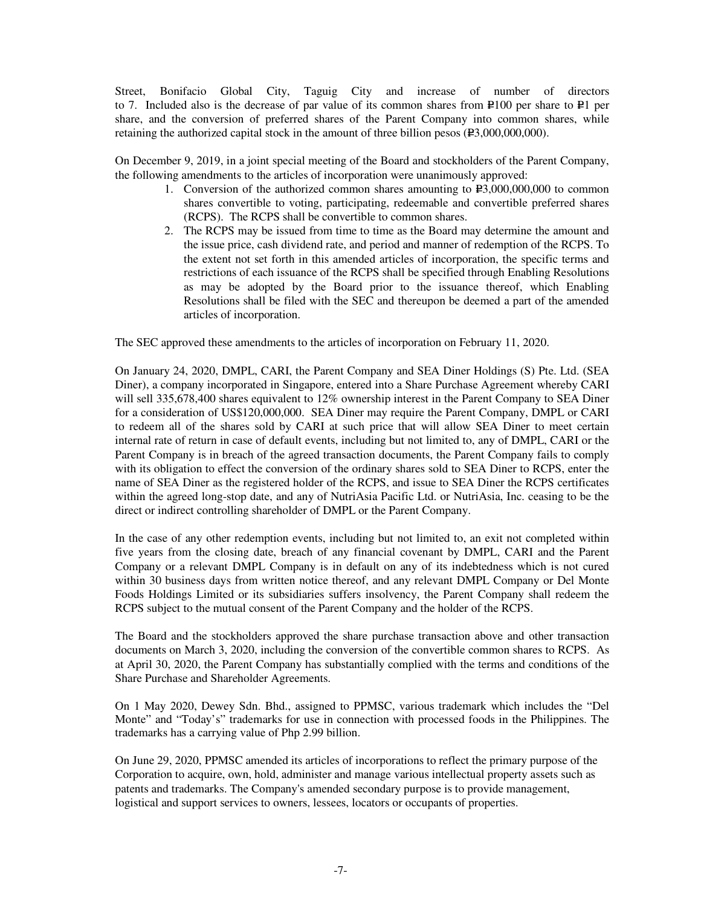Street, Bonifacio Global City, Taguig City and increase of number of directors to 7. Included also is the decrease of par value of its common shares from  $\text{P}100$  per share to P $\text{1}$  per share, and the conversion of preferred shares of the Parent Company into common shares, while retaining the authorized capital stock in the amount of three billion pesos  $(P3,000,000,000)$ .

On December 9, 2019, in a joint special meeting of the Board and stockholders of the Parent Company, the following amendments to the articles of incorporation were unanimously approved:

- 1. Conversion of the authorized common shares amounting to  $E3,000,000,000$  to common shares convertible to voting, participating, redeemable and convertible preferred shares (RCPS). The RCPS shall be convertible to common shares.
- 2. The RCPS may be issued from time to time as the Board may determine the amount and the issue price, cash dividend rate, and period and manner of redemption of the RCPS. To the extent not set forth in this amended articles of incorporation, the specific terms and restrictions of each issuance of the RCPS shall be specified through Enabling Resolutions as may be adopted by the Board prior to the issuance thereof, which Enabling Resolutions shall be filed with the SEC and thereupon be deemed a part of the amended articles of incorporation.

The SEC approved these amendments to the articles of incorporation on February 11, 2020.

On January 24, 2020, DMPL, CARI, the Parent Company and SEA Diner Holdings (S) Pte. Ltd. (SEA Diner), a company incorporated in Singapore, entered into a Share Purchase Agreement whereby CARI will sell 335,678,400 shares equivalent to 12% ownership interest in the Parent Company to SEA Diner for a consideration of US\$120,000,000. SEA Diner may require the Parent Company, DMPL or CARI to redeem all of the shares sold by CARI at such price that will allow SEA Diner to meet certain internal rate of return in case of default events, including but not limited to, any of DMPL, CARI or the Parent Company is in breach of the agreed transaction documents, the Parent Company fails to comply with its obligation to effect the conversion of the ordinary shares sold to SEA Diner to RCPS, enter the name of SEA Diner as the registered holder of the RCPS, and issue to SEA Diner the RCPS certificates within the agreed long-stop date, and any of NutriAsia Pacific Ltd. or NutriAsia, Inc. ceasing to be the direct or indirect controlling shareholder of DMPL or the Parent Company.

In the case of any other redemption events, including but not limited to, an exit not completed within five years from the closing date, breach of any financial covenant by DMPL, CARI and the Parent Company or a relevant DMPL Company is in default on any of its indebtedness which is not cured within 30 business days from written notice thereof, and any relevant DMPL Company or Del Monte Foods Holdings Limited or its subsidiaries suffers insolvency, the Parent Company shall redeem the RCPS subject to the mutual consent of the Parent Company and the holder of the RCPS.

The Board and the stockholders approved the share purchase transaction above and other transaction documents on March 3, 2020, including the conversion of the convertible common shares to RCPS. As at April 30, 2020, the Parent Company has substantially complied with the terms and conditions of the Share Purchase and Shareholder Agreements.

On 1 May 2020, Dewey Sdn. Bhd., assigned to PPMSC, various trademark which includes the "Del Monte" and "Today's" trademarks for use in connection with processed foods in the Philippines. The trademarks has a carrying value of Php 2.99 billion.

On June 29, 2020, PPMSC amended its articles of incorporations to reflect the primary purpose of the Corporation to acquire, own, hold, administer and manage various intellectual property assets such as patents and trademarks. The Company's amended secondary purpose is to provide management, logistical and support services to owners, lessees, locators or occupants of properties.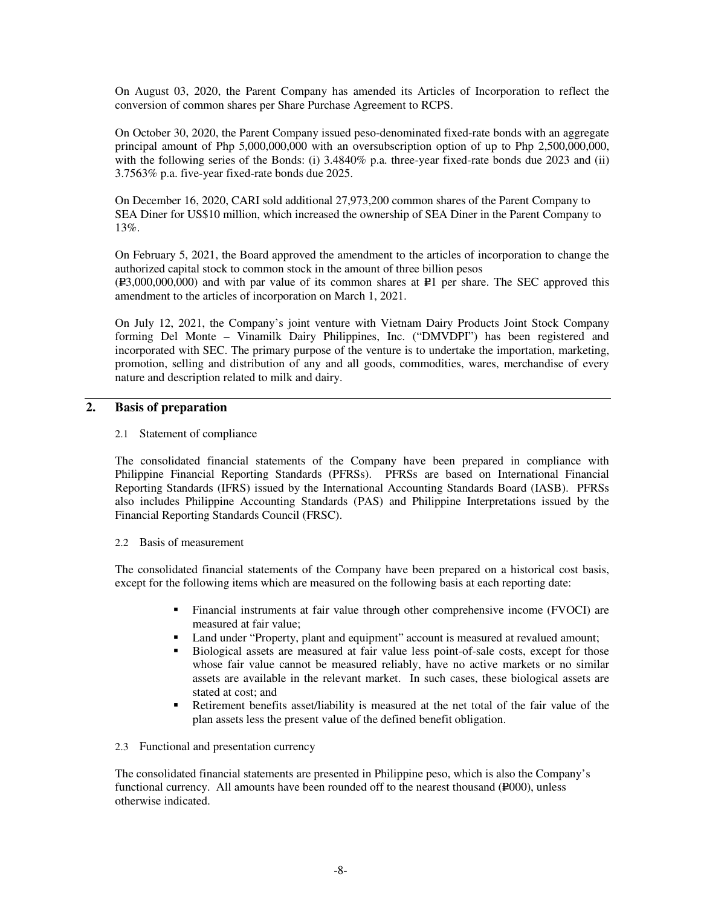On August 03, 2020, the Parent Company has amended its Articles of Incorporation to reflect the conversion of common shares per Share Purchase Agreement to RCPS.

On October 30, 2020, the Parent Company issued peso-denominated fixed-rate bonds with an aggregate principal amount of Php 5,000,000,000 with an oversubscription option of up to Php 2,500,000,000, with the following series of the Bonds: (i) 3.4840% p.a. three-year fixed-rate bonds due 2023 and (ii) 3.7563% p.a. five-year fixed-rate bonds due 2025.

On December 16, 2020, CARI sold additional 27,973,200 common shares of the Parent Company to SEA Diner for US\$10 million, which increased the ownership of SEA Diner in the Parent Company to 13%.

On February 5, 2021, the Board approved the amendment to the articles of incorporation to change the authorized capital stock to common stock in the amount of three billion pesos  $(F3,000,000,000)$  and with par value of its common shares at P=1 per share. The SEC approved this amendment to the articles of incorporation on March 1, 2021.

On July 12, 2021, the Company's joint venture with Vietnam Dairy Products Joint Stock Company forming Del Monte – Vinamilk Dairy Philippines, Inc. ("DMVDPI") has been registered and incorporated with SEC. The primary purpose of the venture is to undertake the importation, marketing, promotion, selling and distribution of any and all goods, commodities, wares, merchandise of every nature and description related to milk and dairy.

#### **2. Basis of preparation**

#### 2.1 Statement of compliance

The consolidated financial statements of the Company have been prepared in compliance with Philippine Financial Reporting Standards (PFRSs). PFRSs are based on International Financial Reporting Standards (IFRS) issued by the International Accounting Standards Board (IASB). PFRSs also includes Philippine Accounting Standards (PAS) and Philippine Interpretations issued by the Financial Reporting Standards Council (FRSC).

#### 2.2 Basis of measurement

The consolidated financial statements of the Company have been prepared on a historical cost basis, except for the following items which are measured on the following basis at each reporting date:

- Financial instruments at fair value through other comprehensive income (FVOCI) are measured at fair value;
- Land under "Property, plant and equipment" account is measured at revalued amount;
- Biological assets are measured at fair value less point-of-sale costs, except for those whose fair value cannot be measured reliably, have no active markets or no similar assets are available in the relevant market. In such cases, these biological assets are stated at cost; and
- Retirement benefits asset/liability is measured at the net total of the fair value of the plan assets less the present value of the defined benefit obligation.

#### 2.3 Functional and presentation currency

The consolidated financial statements are presented in Philippine peso, which is also the Company's functional currency. All amounts have been rounded off to the nearest thousand (P000), unless otherwise indicated.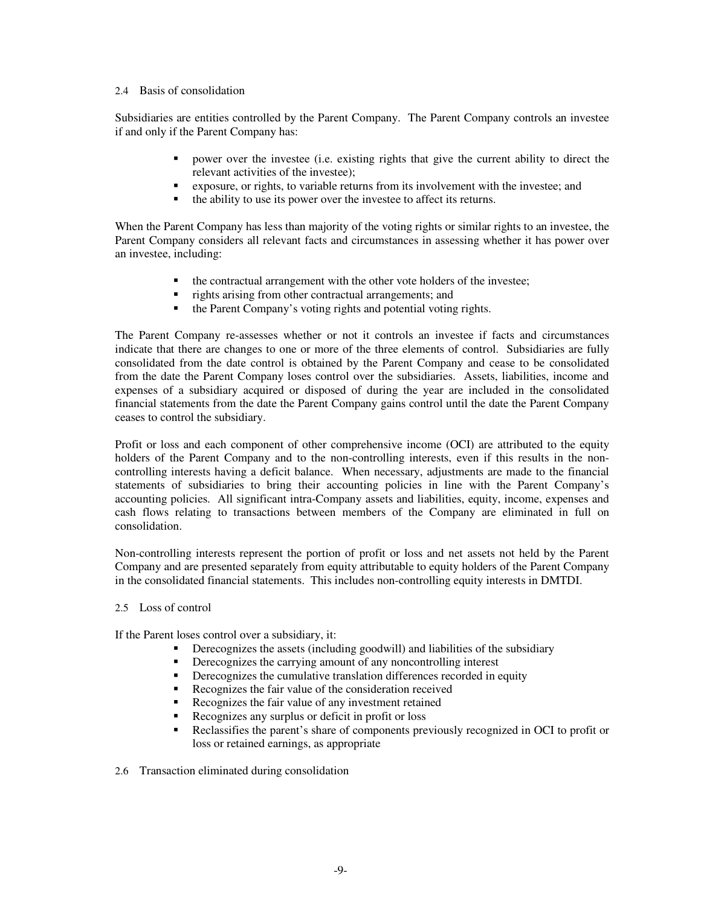#### 2.4 Basis of consolidation

Subsidiaries are entities controlled by the Parent Company. The Parent Company controls an investee if and only if the Parent Company has:

- power over the investee (i.e. existing rights that give the current ability to direct the relevant activities of the investee);
- exposure, or rights, to variable returns from its involvement with the investee; and
- the ability to use its power over the investee to affect its returns.

When the Parent Company has less than majority of the voting rights or similar rights to an investee, the Parent Company considers all relevant facts and circumstances in assessing whether it has power over an investee, including:

- $\blacksquare$  the contractual arrangement with the other vote holders of the investee;
- rights arising from other contractual arrangements; and
- the Parent Company's voting rights and potential voting rights.

The Parent Company re-assesses whether or not it controls an investee if facts and circumstances indicate that there are changes to one or more of the three elements of control. Subsidiaries are fully consolidated from the date control is obtained by the Parent Company and cease to be consolidated from the date the Parent Company loses control over the subsidiaries. Assets, liabilities, income and expenses of a subsidiary acquired or disposed of during the year are included in the consolidated financial statements from the date the Parent Company gains control until the date the Parent Company ceases to control the subsidiary.

Profit or loss and each component of other comprehensive income (OCI) are attributed to the equity holders of the Parent Company and to the non-controlling interests, even if this results in the noncontrolling interests having a deficit balance. When necessary, adjustments are made to the financial statements of subsidiaries to bring their accounting policies in line with the Parent Company's accounting policies. All significant intra-Company assets and liabilities, equity, income, expenses and cash flows relating to transactions between members of the Company are eliminated in full on consolidation.

Non-controlling interests represent the portion of profit or loss and net assets not held by the Parent Company and are presented separately from equity attributable to equity holders of the Parent Company in the consolidated financial statements. This includes non-controlling equity interests in DMTDI.

2.5 Loss of control

If the Parent loses control over a subsidiary, it:

- Derecognizes the assets (including goodwill) and liabilities of the subsidiary
- Derecognizes the carrying amount of any noncontrolling interest
- **•** Derecognizes the cumulative translation differences recorded in equity
- Recognizes the fair value of the consideration received
- Recognizes the fair value of any investment retained
- Recognizes any surplus or deficit in profit or loss
- Reclassifies the parent's share of components previously recognized in OCI to profit or loss or retained earnings, as appropriate
- 2.6 Transaction eliminated during consolidation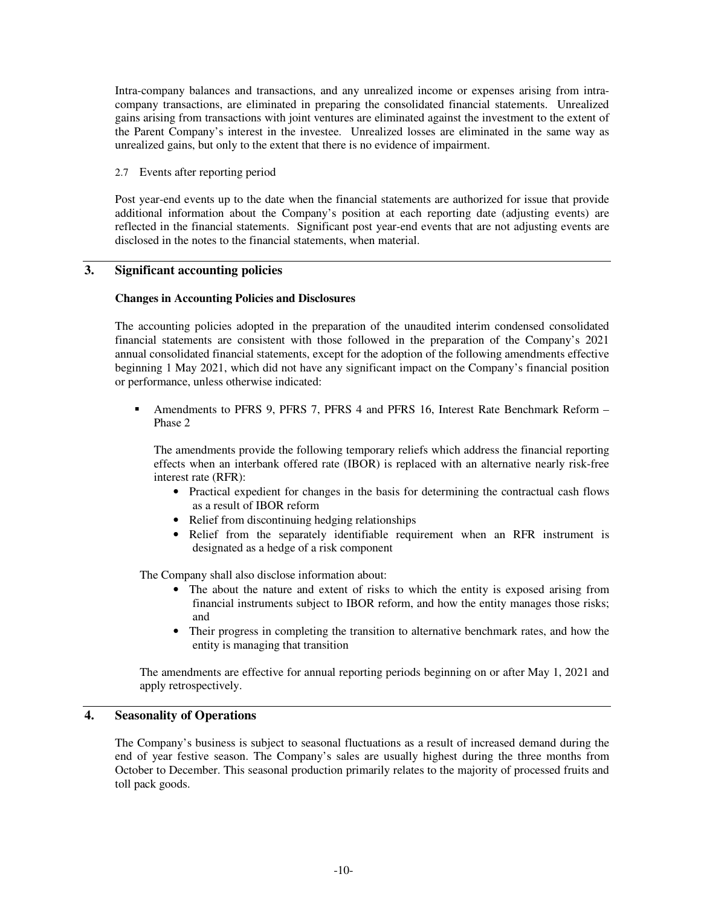Intra-company balances and transactions, and any unrealized income or expenses arising from intracompany transactions, are eliminated in preparing the consolidated financial statements. Unrealized gains arising from transactions with joint ventures are eliminated against the investment to the extent of the Parent Company's interest in the investee. Unrealized losses are eliminated in the same way as unrealized gains, but only to the extent that there is no evidence of impairment.

2.7 Events after reporting period

Post year-end events up to the date when the financial statements are authorized for issue that provide additional information about the Company's position at each reporting date (adjusting events) are reflected in the financial statements. Significant post year-end events that are not adjusting events are disclosed in the notes to the financial statements, when material.

## **3. Significant accounting policies**

#### **Changes in Accounting Policies and Disclosures**

The accounting policies adopted in the preparation of the unaudited interim condensed consolidated financial statements are consistent with those followed in the preparation of the Company's 2021 annual consolidated financial statements, except for the adoption of the following amendments effective beginning 1 May 2021, which did not have any significant impact on the Company's financial position or performance, unless otherwise indicated:

 Amendments to PFRS 9, PFRS 7, PFRS 4 and PFRS 16, Interest Rate Benchmark Reform – Phase 2

The amendments provide the following temporary reliefs which address the financial reporting effects when an interbank offered rate (IBOR) is replaced with an alternative nearly risk-free interest rate (RFR):

- Practical expedient for changes in the basis for determining the contractual cash flows as a result of IBOR reform
- Relief from discontinuing hedging relationships
- Relief from the separately identifiable requirement when an RFR instrument is designated as a hedge of a risk component

The Company shall also disclose information about:

- The about the nature and extent of risks to which the entity is exposed arising from financial instruments subject to IBOR reform, and how the entity manages those risks; and
- Their progress in completing the transition to alternative benchmark rates, and how the entity is managing that transition

The amendments are effective for annual reporting periods beginning on or after May 1, 2021 and apply retrospectively.

#### **4. Seasonality of Operations**

The Company's business is subject to seasonal fluctuations as a result of increased demand during the end of year festive season. The Company's sales are usually highest during the three months from October to December. This seasonal production primarily relates to the majority of processed fruits and toll pack goods.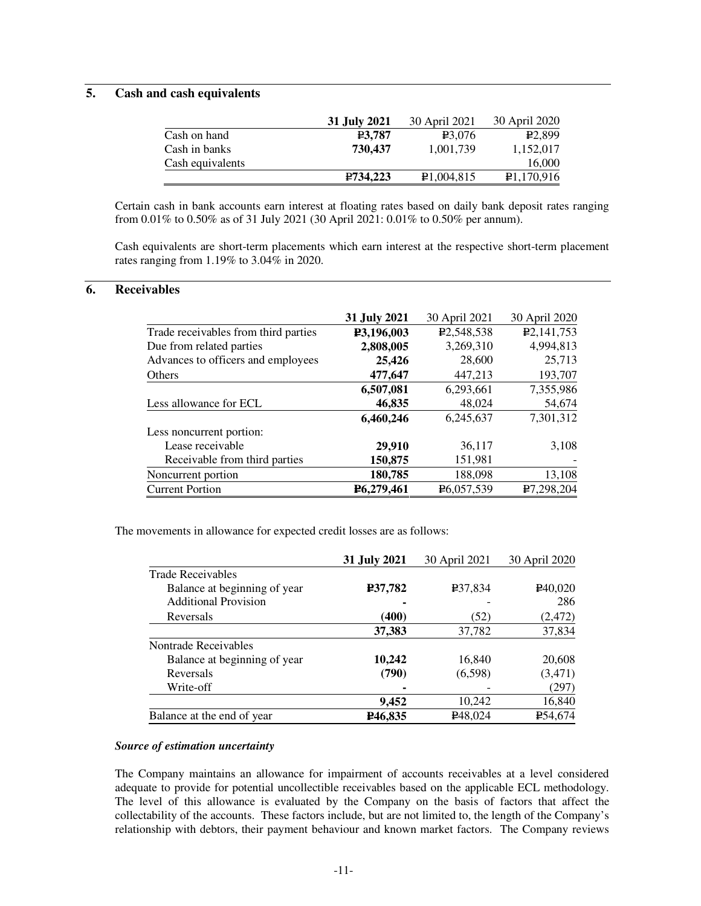## **5. Cash and cash equivalents**

|                  | 31 July 2021        | 30 April 2021 | 30 April 2020 |
|------------------|---------------------|---------------|---------------|
| Cash on hand     | P <sub>3</sub> .787 | 23,076        | E2.899        |
| Cash in banks    | 730,437             | 1.001.739     | 1.152.017     |
| Cash equivalents |                     |               | 16,000        |
|                  | P734,223            | P1,004,815    | P1,170,916    |

Certain cash in bank accounts earn interest at floating rates based on daily bank deposit rates ranging from 0.01% to 0.50% as of 31 July 2021 (30 April 2021: 0.01% to 0.50% per annum).

Cash equivalents are short-term placements which earn interest at the respective short-term placement rates ranging from 1.19% to 3.04% in 2020.

### **6. Receivables**

|                                      | 31 July 2021 | 30 April 2021           | 30 April 2020             |
|--------------------------------------|--------------|-------------------------|---------------------------|
| Trade receivables from third parties | P3,196,003   | P <sub>2</sub> ,548,538 | P <sub>2</sub> , 141, 753 |
| Due from related parties             | 2,808,005    | 3,269,310               | 4,994,813                 |
| Advances to officers and employees   | 25,426       | 28,600                  | 25,713                    |
| Others                               | 477,647      | 447,213                 | 193,707                   |
|                                      | 6,507,081    | 6,293,661               | 7,355,986                 |
| Less allowance for ECL               | 46,835       | 48,024                  | 54,674                    |
|                                      | 6,460,246    | 6,245,637               | 7,301,312                 |
| Less noncurrent portion:             |              |                         |                           |
| Lease receivable                     | 29,910       | 36,117                  | 3,108                     |
| Receivable from third parties        | 150,875      | 151,981                 |                           |
| Noncurrent portion                   | 180,785      | 188,098                 | 13,108                    |
| <b>Current Portion</b>               | P6,279,461   | P6,057,539              | P7,298,204                |

The movements in allowance for expected credit losses are as follows:

|                              | 31 July 2021         | 30 April 2021        | 30 April 2020        |
|------------------------------|----------------------|----------------------|----------------------|
| <b>Trade Receivables</b>     |                      |                      |                      |
| Balance at beginning of year | P37,782              | <b>P37,834</b>       | P <sub>40</sub> ,020 |
| <b>Additional Provision</b>  |                      |                      | 286                  |
| Reversals                    | (400)                | (52)                 | (2, 472)             |
|                              | 37,383               | 37,782               | 37,834               |
| Nontrade Receivables         |                      |                      |                      |
| Balance at beginning of year | 10,242               | 16,840               | 20,608               |
| Reversals                    | (790)                | (6,598)              | (3, 471)             |
| Write-off                    |                      |                      | (297)                |
|                              | 9,452                | 10,242               | 16,840               |
| Balance at the end of year   | P <sub>46</sub> ,835 | P <sub>48</sub> ,024 | ₽54,674              |

#### *Source of estimation uncertainty*

The Company maintains an allowance for impairment of accounts receivables at a level considered adequate to provide for potential uncollectible receivables based on the applicable ECL methodology. The level of this allowance is evaluated by the Company on the basis of factors that affect the collectability of the accounts. These factors include, but are not limited to, the length of the Company's relationship with debtors, their payment behaviour and known market factors. The Company reviews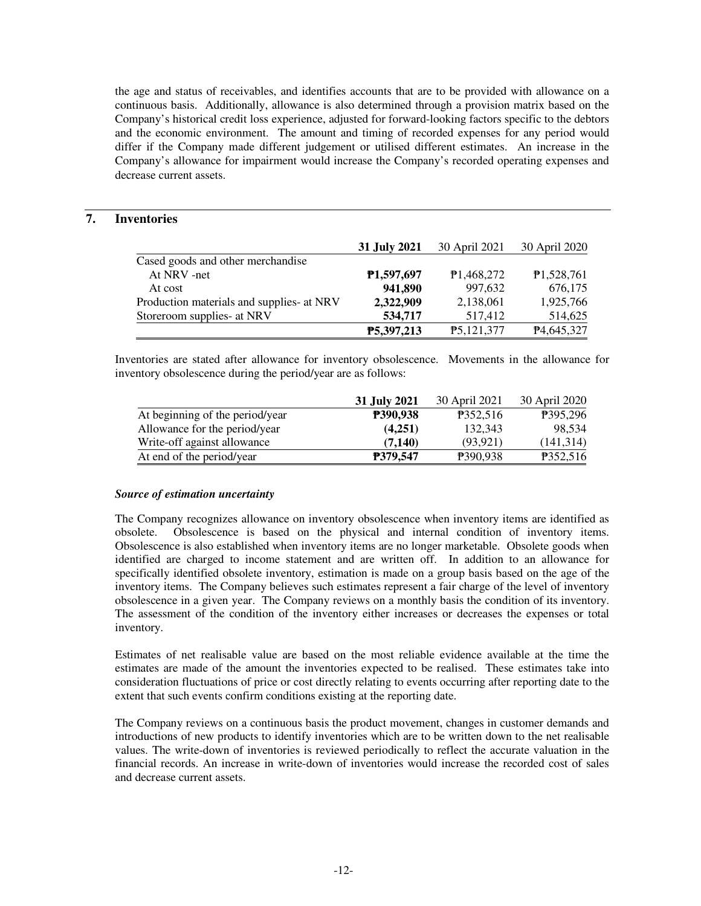the age and status of receivables, and identifies accounts that are to be provided with allowance on a continuous basis. Additionally, allowance is also determined through a provision matrix based on the Company's historical credit loss experience, adjusted for forward-looking factors specific to the debtors and the economic environment. The amount and timing of recorded expenses for any period would differ if the Company made different judgement or utilised different estimates. An increase in the Company's allowance for impairment would increase the Company's recorded operating expenses and decrease current assets.

## **7. Inventories**

|                                           | 31 July 2021            | 30 April 2021 | 30 April 2020 |
|-------------------------------------------|-------------------------|---------------|---------------|
| Cased goods and other merchandise         |                         |               |               |
| At NRV -net                               | P <sub>1</sub> ,597,697 | P1,468,272    | P1,528,761    |
| At cost                                   | 941,890                 | 997,632       | 676,175       |
| Production materials and supplies- at NRV | 2,322,909               | 2,138,061     | 1,925,766     |
| Storeroom supplies- at NRV                | 534,717                 | 517,412       | 514,625       |
|                                           | P5,397,213              | P5,121,377    | P4,645,327    |

Inventories are stated after allowance for inventory obsolescence. Movements in the allowance for inventory obsolescence during the period/year are as follows:

|                                 | 31 July 2021    | 30 April 2021   | 30 April 2020 |
|---------------------------------|-----------------|-----------------|---------------|
| At beginning of the period/year | <b>P390,938</b> | P352,516        | P395.296      |
| Allowance for the period/year   | (4,251)         | 132.343         | 98.534        |
| Write-off against allowance     | (7.140)         | (93.921)        | (141,314)     |
| At end of the period/year       | <b>P379.547</b> | <b>P390.938</b> | P352,516      |

#### *Source of estimation uncertainty*

The Company recognizes allowance on inventory obsolescence when inventory items are identified as obsolete. Obsolescence is based on the physical and internal condition of inventory items. Obsolescence is also established when inventory items are no longer marketable. Obsolete goods when identified are charged to income statement and are written off. In addition to an allowance for specifically identified obsolete inventory, estimation is made on a group basis based on the age of the inventory items. The Company believes such estimates represent a fair charge of the level of inventory obsolescence in a given year. The Company reviews on a monthly basis the condition of its inventory. The assessment of the condition of the inventory either increases or decreases the expenses or total inventory.

Estimates of net realisable value are based on the most reliable evidence available at the time the estimates are made of the amount the inventories expected to be realised. These estimates take into consideration fluctuations of price or cost directly relating to events occurring after reporting date to the extent that such events confirm conditions existing at the reporting date.

The Company reviews on a continuous basis the product movement, changes in customer demands and introductions of new products to identify inventories which are to be written down to the net realisable values. The write-down of inventories is reviewed periodically to reflect the accurate valuation in the financial records. An increase in write-down of inventories would increase the recorded cost of sales and decrease current assets.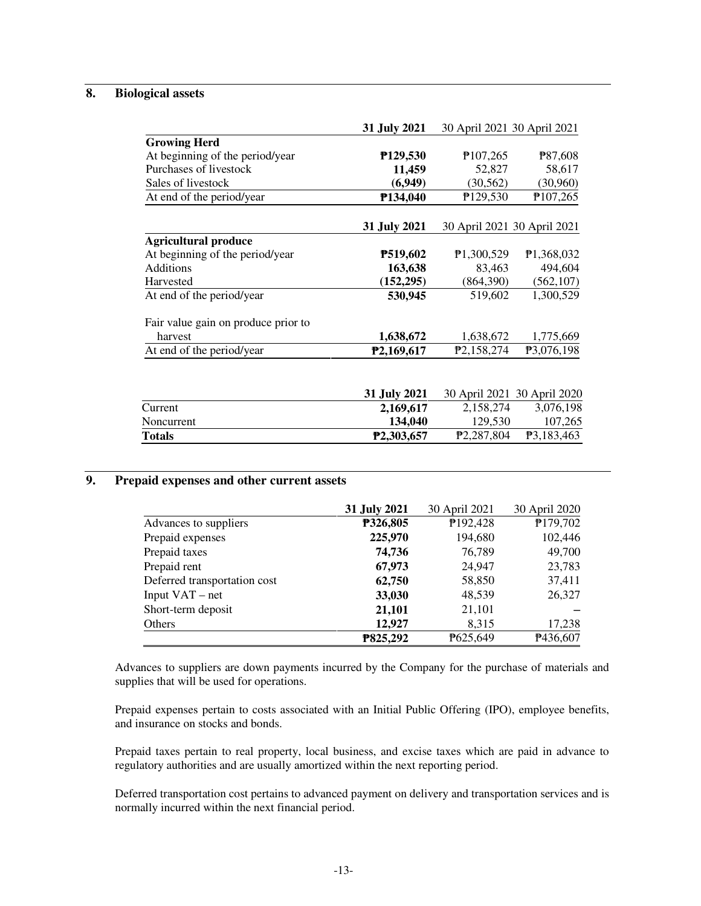## **8. Biological assets**

|                                     | 31 July 2021     |                         | 30 April 2021 30 April 2021 |
|-------------------------------------|------------------|-------------------------|-----------------------------|
| <b>Growing Herd</b>                 |                  |                         |                             |
| At beginning of the period/year     | P129,530         | P <sub>107,265</sub>    | P87,608                     |
| Purchases of livestock              | 11,459           | 52,827                  | 58,617                      |
| Sales of livestock                  | (6,949)          | (30, 562)               | (30,960)                    |
| At end of the period/year           | P134,040         | P129,530                | P107,265                    |
|                                     | 31 July 2021     |                         | 30 April 2021 30 April 2021 |
| <b>Agricultural produce</b>         |                  |                         |                             |
| At beginning of the period/year     | P519,602         | P1,300,529              | P <sub>1</sub> ,368,032     |
| Additions                           | 163,638          | 83,463                  | 494,604                     |
| Harvested                           | (152, 295)       | (864,390)               | (562, 107)                  |
| At end of the period/year           | 530,945          | 519,602                 | 1,300,529                   |
| Fair value gain on produce prior to |                  |                         |                             |
| harvest                             | 1,638,672        | 1,638,672               | 1,775,669                   |
| At end of the period/year           | P2,169,617       | P <sub>2</sub> ,158,274 | P3,076,198                  |
|                                     |                  |                         |                             |
|                                     | 31 July 2021     |                         | 30 April 2021 30 April 2020 |
| $T_{\text{number}}$                 | <u>ኅ 1ሪስ ሪ17</u> | 2.150274                | 2.076.109                   |

|            | 31 JUIV 2021      |            | 30 April 2021 30 April 2020 |
|------------|-------------------|------------|-----------------------------|
| Current    | 2.169.617         | 2.158.274  | 3.076.198                   |
| Noncurrent | 134.040           | 129,530    | 107.265                     |
| Totals     | <b>P2,303,657</b> | P2.287.804 | <b>P3.183.463</b>           |
|            |                   |            |                             |

## **9. Prepaid expenses and other current assets**

|                              | 31 July 2021 | 30 April 2021 | 30 April 2020 |
|------------------------------|--------------|---------------|---------------|
| Advances to suppliers        | P326,805     | P192,428      | P179,702      |
| Prepaid expenses             | 225,970      | 194,680       | 102,446       |
| Prepaid taxes                | 74,736       | 76,789        | 49,700        |
| Prepaid rent                 | 67,973       | 24,947        | 23,783        |
| Deferred transportation cost | 62,750       | 58,850        | 37,411        |
| Input $VAT - net$            | 33,030       | 48,539        | 26,327        |
| Short-term deposit           | 21,101       | 21,101        |               |
| Others                       | 12,927       | 8,315         | 17,238        |
|                              | P825,292     | P625,649      | P436,607      |

Advances to suppliers are down payments incurred by the Company for the purchase of materials and supplies that will be used for operations.

Prepaid expenses pertain to costs associated with an Initial Public Offering (IPO), employee benefits, and insurance on stocks and bonds.

Prepaid taxes pertain to real property, local business, and excise taxes which are paid in advance to regulatory authorities and are usually amortized within the next reporting period.

Deferred transportation cost pertains to advanced payment on delivery and transportation services and is normally incurred within the next financial period.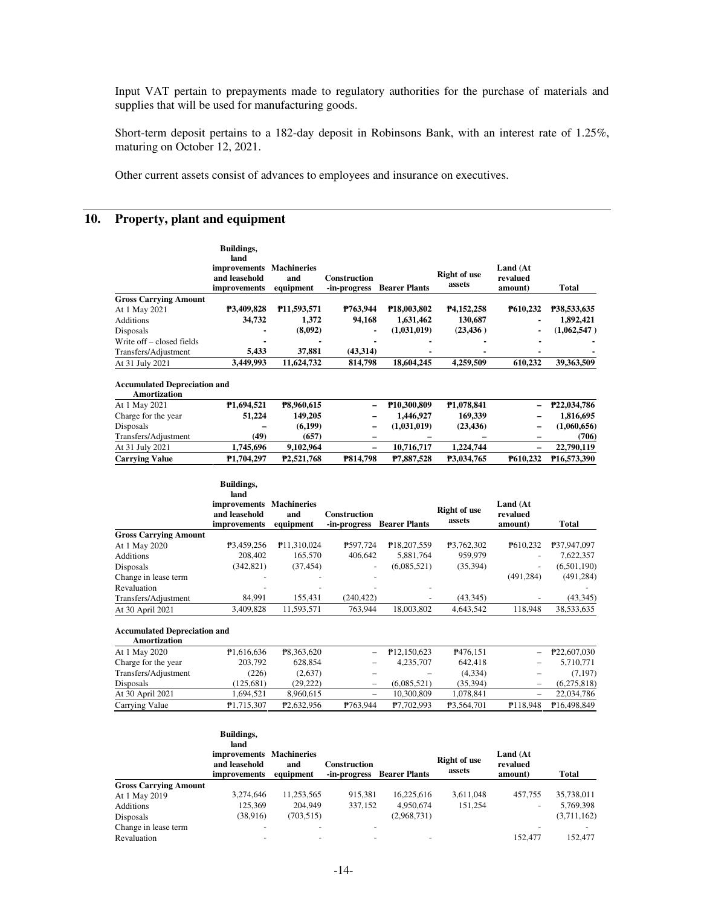Input VAT pertain to prepayments made to regulatory authorities for the purchase of materials and supplies that will be used for manufacturing goods.

Short-term deposit pertains to a 182-day deposit in Robinsons Bank, with an interest rate of 1.25%, maturing on October 12, 2021.

Other current assets consist of advances to employees and insurance on executives.

## **10. Property, plant and equipment**

|                                     | <b>Buildings.</b><br>land<br>improvements Machineries<br>and leasehold<br><i>improvements</i> | and<br>equipment         | <b>Construction</b><br>-in-progress | <b>Bearer Plants</b>     | <b>Right of use</b><br>assets | Land (At<br>revalued<br>amount) | <b>Total</b> |
|-------------------------------------|-----------------------------------------------------------------------------------------------|--------------------------|-------------------------------------|--------------------------|-------------------------------|---------------------------------|--------------|
| <b>Gross Carrying Amount</b>        |                                                                                               |                          |                                     |                          |                               |                                 |              |
| At 1 May 2021                       | P3,409,828                                                                                    | P <sub>11,593</sub> ,571 | P763.944                            | P <sub>18</sub> ,003,802 | P4,152,258                    | P610.232                        | P38,533,635  |
| <b>Additions</b>                    | 34,732                                                                                        | 1.372                    | 94.168                              | 1,631,462                | 130,687                       | $\blacksquare$                  | 1,892,421    |
| Disposals                           |                                                                                               | (8,092)                  |                                     | (1,031,019)              | (23, 436)                     |                                 | (1,062,547)  |
| Write off – closed fields           | $\overline{\phantom{0}}$                                                                      |                          | ۰                                   | $\overline{\phantom{0}}$ | ٠                             |                                 |              |
| Transfers/Adjustment                | 5.433                                                                                         | 37.881                   | (43,314)                            | ۰                        | $\overline{\phantom{0}}$      |                                 |              |
| At 31 July 2021                     | 3.449.993                                                                                     | 11,624,732               | 814,798                             | 18,604,245               | 4.259.509                     | 610.232                         | 39,363,509   |
| <b>Accumulated Depreciation and</b> |                                                                                               |                          |                                     |                          |                               |                                 |              |

| Amortization          |                          |                        |                          |                          |                        |                          |                         |
|-----------------------|--------------------------|------------------------|--------------------------|--------------------------|------------------------|--------------------------|-------------------------|
| At 1 May 2021         | P <sub>1.694.521</sub>   | P8.960.615             | $\overline{\phantom{0}}$ | P <sub>10.300.809</sub>  | P <sub>1.078.841</sub> |                          | $-$ P22,034,786         |
| Charge for the year   | 51,224                   | 149.205                | -                        | 1.446.927                | 169,339                | -                        | 1.816.695               |
| Disposals             | $\overline{\phantom{0}}$ | (6, 199)               | -                        | (1,031,019)              | (23, 436)              |                          | (1,060,656)             |
| Transfers/Adiustment  | (49)                     | (657)                  | -                        | $\overline{\phantom{0}}$ | -                      | $\overline{\phantom{0}}$ | (706)                   |
| At 31 July 2021       | 1.745.696                | 9.102.964              | -                        | 10.716.717               | 1.224.744              | -                        | 22,790,119              |
| <b>Carrying Value</b> | P <sub>1.704.297</sub>   | P <sub>2.521.768</sub> | P814.798                 | P7.887.528               | P3.034.765             | P610.232                 | P <sub>16.573.390</sub> |

|                              | Buildings,<br>land<br>improvements Machineries<br>and leasehold | and                     | <b>Construction</b>      |                            | Right of use | Land (At<br>revalued |              |
|------------------------------|-----------------------------------------------------------------|-------------------------|--------------------------|----------------------------|--------------|----------------------|--------------|
|                              | <i>improvements</i>                                             | equipment               | -in-progress             | <b>Bearer Plants</b>       | assets       | amount)              | <b>Total</b> |
| <b>Gross Carrying Amount</b> |                                                                 |                         |                          |                            |              |                      |              |
| At 1 May 2020                | P3,459,256                                                      | P <sub>11,310,024</sub> | P597.724                 | P <sub>18</sub> , 207, 559 | P3,762,302   | P610.232             | P37,947,097  |
| <b>Additions</b>             | 208,402                                                         | 165,570                 | 406.642                  | 5.881.764                  | 959,979      |                      | 7,622,357    |
| Disposals                    | (342, 821)                                                      | (37, 454)               | $\overline{\phantom{a}}$ | (6,085,521)                | (35,394)     | ۰.                   | (6,501,190)  |
| Change in lease term         |                                                                 |                         | ٠                        |                            |              | (491, 284)           | (491, 284)   |
| Revaluation                  |                                                                 |                         |                          |                            |              |                      |              |
| Transfers/Adjustment         | 84.991                                                          | 155.431                 | (240.422)                |                            | (43, 345)    |                      | (43, 345)    |
| At 30 April 2021             | 3.409.828                                                       | 11,593,571              | 763,944                  | 18,003,802                 | 4,643,542    | 118.948              | 38,533,635   |

#### **Accumulated Depreciation and Amortization**

| Amoruzauon           |                         |                        |          |                          |                      |                          |                         |
|----------------------|-------------------------|------------------------|----------|--------------------------|----------------------|--------------------------|-------------------------|
| At 1 May 2020        | P <sub>1</sub> ,616,636 | P8,363,620             |          | P <sub>12</sub> ,150,623 | P <sub>476.151</sub> |                          | $- P22,607,030$         |
| Charge for the year  | 203,792                 | 628.854                |          | 4.235.707                | 642,418              | $\equiv$                 | 5,710,771               |
| Transfers/Adjustment | (226)                   | (2,637)                |          |                          | (4,334)              | $\equiv$                 | (7, 197)                |
| Disposals            | (125.681)               | (29.222)               |          | (6.085.521)              | (35, 394)            | $\overline{\phantom{m}}$ | (6,275,818)             |
| At 30 April 2021     | 1.694.521               | 8.960.615              | $\equiv$ | 10.300.809               | 1.078.841            |                          | 22,034,786              |
| Carrying Value       | P1,715,307              | P <sub>2.632.956</sub> | P763.944 | P7.702.993               | P3,564,701           | P <sub>118.948</sub>     | P <sub>16.498.849</sub> |

|                              | Buildings,                                                        |                  |                                     |                      |                        |                                 |             |
|------------------------------|-------------------------------------------------------------------|------------------|-------------------------------------|----------------------|------------------------|---------------------------------|-------------|
|                              | land<br>improvements Machineries<br>and leasehold<br>improvements | and<br>equipment | <b>Construction</b><br>-in-progress | <b>Bearer Plants</b> | Right of use<br>assets | Land (At<br>revalued<br>amount) | Total       |
| <b>Gross Carrying Amount</b> |                                                                   |                  |                                     |                      |                        |                                 |             |
| At 1 May 2019                | 3,274,646                                                         | 11,253,565       | 915.381                             | 16,225,616           | 3,611,048              | 457.755                         | 35,738,011  |
| Additions                    | 125.369                                                           | 204,949          | 337,152                             | 4,950,674            | 151.254                |                                 | 5,769,398   |
| Disposals                    | (38, 916)                                                         | (703, 515)       |                                     | (2,968,731)          |                        |                                 | (3,711,162) |
| Change in lease term         | $\overline{\phantom{0}}$                                          |                  |                                     |                      |                        |                                 |             |
| Revaluation                  |                                                                   |                  |                                     |                      |                        | 152,477                         | 152.477     |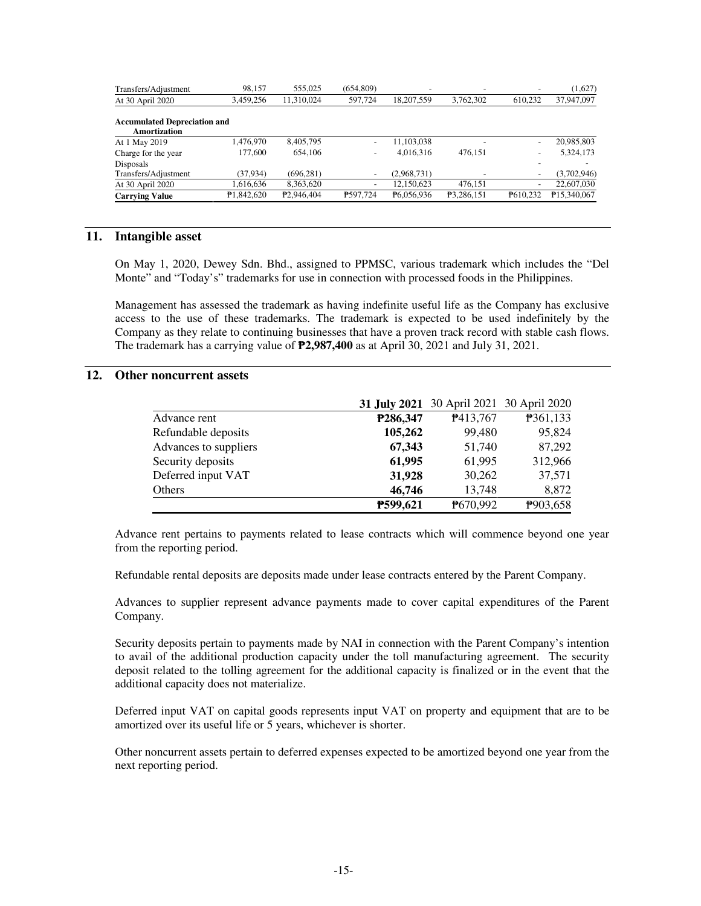| Transfers/Adjustment                                | 98,157                 | 555.025                | (654,809)                | $\overline{\phantom{a}}$ |            |                          | (1,627)     |
|-----------------------------------------------------|------------------------|------------------------|--------------------------|--------------------------|------------|--------------------------|-------------|
| At 30 April 2020                                    | 3,459,256              | 11.310.024             | 597,724                  | 18.207.559               | 3,762,302  | 610.232                  | 37,947,097  |
| <b>Accumulated Depreciation and</b><br>Amortization |                        |                        |                          |                          |            |                          |             |
| At 1 May 2019                                       | 1.476.970              | 8,405,795              | $\overline{\phantom{a}}$ | 11,103,038               |            | $\overline{\phantom{a}}$ | 20,985,803  |
| Charge for the year                                 | 177,600                | 654,106                | $\overline{\phantom{a}}$ | 4.016.316                | 476.151    | $\overline{\phantom{a}}$ | 5,324,173   |
| Disposals                                           |                        |                        |                          |                          |            |                          |             |
| Transfers/Adjustment                                | (37, 934)              | (696.281)              | $\overline{\phantom{a}}$ | (2.968.731)              |            |                          | (3,702,946) |
| At 30 April 2020                                    | 1,616,636              | 8,363,620              | $\overline{\phantom{a}}$ | 12,150,623               | 476,151    | $\overline{\phantom{a}}$ | 22,607,030  |
| <b>Carrying Value</b>                               | P <sub>1.842.620</sub> | P <sub>2.946.404</sub> | P597.724                 | P6.056.936               | P3,286,151 | P610.232                 | P15,340,067 |

## **11. Intangible asset**

On May 1, 2020, Dewey Sdn. Bhd., assigned to PPMSC, various trademark which includes the "Del Monte" and "Today's" trademarks for use in connection with processed foods in the Philippines.

Management has assessed the trademark as having indefinite useful life as the Company has exclusive access to the use of these trademarks. The trademark is expected to be used indefinitely by the Company as they relate to continuing businesses that have a proven track record with stable cash flows. The trademark has a carrying value of ₱**2,987,400** as at April 30, 2021 and July 31, 2021.

## **12. Other noncurrent assets**

|                       |          | 31 July 2021 30 April 2021 30 April 2020 |          |
|-----------------------|----------|------------------------------------------|----------|
| Advance rent          | P286,347 | P413,767                                 | P361,133 |
| Refundable deposits   | 105,262  | 99,480                                   | 95,824   |
| Advances to suppliers | 67,343   | 51,740                                   | 87,292   |
| Security deposits     | 61,995   | 61,995                                   | 312,966  |
| Deferred input VAT    | 31,928   | 30,262                                   | 37,571   |
| Others                | 46,746   | 13,748                                   | 8,872    |
|                       | P599,621 | P670,992                                 | P903,658 |

Advance rent pertains to payments related to lease contracts which will commence beyond one year from the reporting period.

Refundable rental deposits are deposits made under lease contracts entered by the Parent Company.

Advances to supplier represent advance payments made to cover capital expenditures of the Parent Company.

Security deposits pertain to payments made by NAI in connection with the Parent Company's intention to avail of the additional production capacity under the toll manufacturing agreement. The security deposit related to the tolling agreement for the additional capacity is finalized or in the event that the additional capacity does not materialize.

Deferred input VAT on capital goods represents input VAT on property and equipment that are to be amortized over its useful life or 5 years, whichever is shorter.

Other noncurrent assets pertain to deferred expenses expected to be amortized beyond one year from the next reporting period.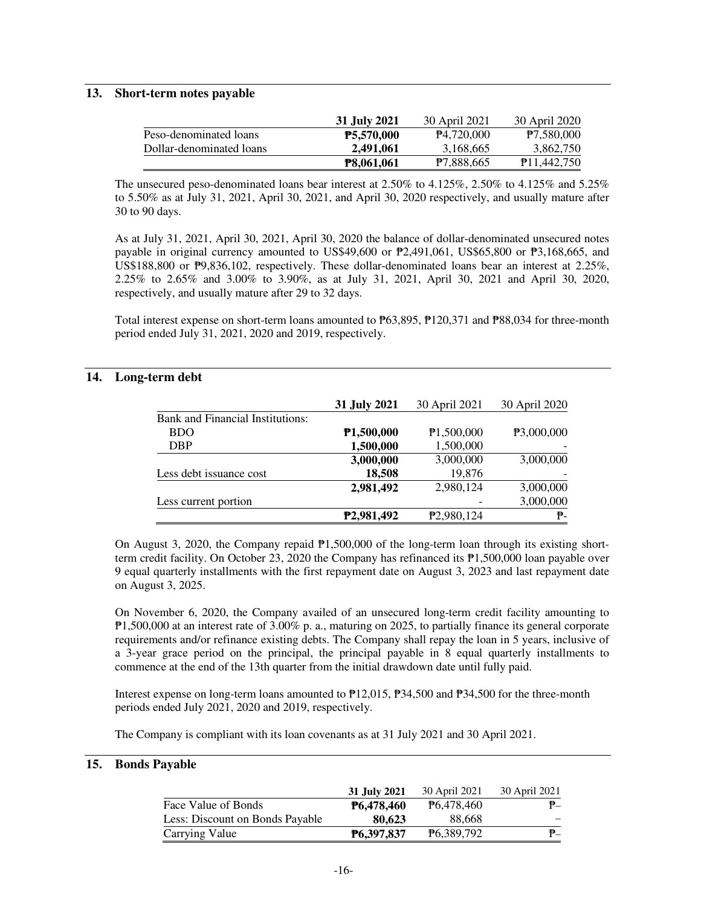#### **13. Short-term notes payable**

|                          | 31 July 2021      | 30 April 2021          | 30 April 2020            |
|--------------------------|-------------------|------------------------|--------------------------|
| Peso-denominated loans   | <b>P5,570,000</b> | P <sub>4.720,000</sub> | P7,580,000               |
| Dollar-denominated loans | 2,491,061         | 3,168,665              | 3,862,750                |
|                          | <b>P8,061,061</b> | <b>P7.888.665</b>      | P <sub>11</sub> ,442,750 |

The unsecured peso-denominated loans bear interest at 2.50% to 4.125%, 2.50% to 4.125% and 5.25% to 5.50% as at July 31, 2021, April 30, 2021, and April 30, 2020 respectively, and usually mature after 30 to 90 days.

As at July 31, 2021, April 30, 2021, April 30, 2020 the balance of dollar-denominated unsecured notes payable in original currency amounted to US\$49,600 or ₱2,491,061, US\$65,800 or ₱3,168,665, and US\$188,800 or  $\overline{P}9,836,102$ , respectively. These dollar-denominated loans bear an interest at 2.25%, 2.25% to 2.65% and 3.00% to 3.90%, as at July 31, 2021, April 30, 2021 and April 30, 2020, respectively, and usually mature after 29 to 32 days.

Total interest expense on short-term loans amounted to ₱63,895, ₱120,371 and ₱88,034 for three-month period ended July 31, 2021, 2020 and 2019, respectively.

## **14. Long-term debt**

|                                         | 31 July 2021            | 30 April 2021           | 30 April 2020 |
|-----------------------------------------|-------------------------|-------------------------|---------------|
| <b>Bank and Financial Institutions:</b> |                         |                         |               |
| <b>BDO</b>                              | P1,500,000              | P1,500,000              | P3,000,000    |
| <b>DBP</b>                              | 1,500,000               | 1,500,000               |               |
|                                         | 3,000,000               | 3,000,000               | 3,000,000     |
| Less debt issuance cost                 | 18,508                  | 19,876                  |               |
|                                         | 2,981,492               | 2,980,124               | 3,000,000     |
| Less current portion                    |                         |                         | 3,000,000     |
|                                         | P <sub>2</sub> ,981,492 | P <sub>2</sub> ,980,124 | ₱-            |

On August 3, 2020, the Company repaid  $\mathbb{P}1,500,000$  of the long-term loan through its existing shortterm credit facility. On October 23, 2020 the Company has refinanced its ₱1,500,000 loan payable over 9 equal quarterly installments with the first repayment date on August 3, 2023 and last repayment date on August 3, 2025.

On November 6, 2020, the Company availed of an unsecured long-term credit facility amounting to ₱1,500,000 at an interest rate of 3.00% p. a., maturing on 2025, to partially finance its general corporate requirements and/or refinance existing debts. The Company shall repay the loan in 5 years, inclusive of a 3-year grace period on the principal, the principal payable in 8 equal quarterly installments to commence at the end of the 13th quarter from the initial drawdown date until fully paid.

Interest expense on long-term loans amounted to ₱12,015, ₱34,500 and ₱34,500 for the three-month periods ended July 2021, 2020 and 2019, respectively.

The Company is compliant with its loan covenants as at 31 July 2021 and 30 April 2021.

#### **15. Bonds Payable**

|                                 | 31 July 2021      | 30 April 2021          | 30 April 2021 |
|---------------------------------|-------------------|------------------------|---------------|
| Face Value of Bonds             | <b>P6,478,460</b> | P <sub>6</sub> 478,460 | $P_{-}$       |
| Less: Discount on Bonds Payable | 80.623            | 88.668                 |               |
| Carrying Value                  | P6.397.837        | P <sub>6.389.792</sub> | $P_{-}$       |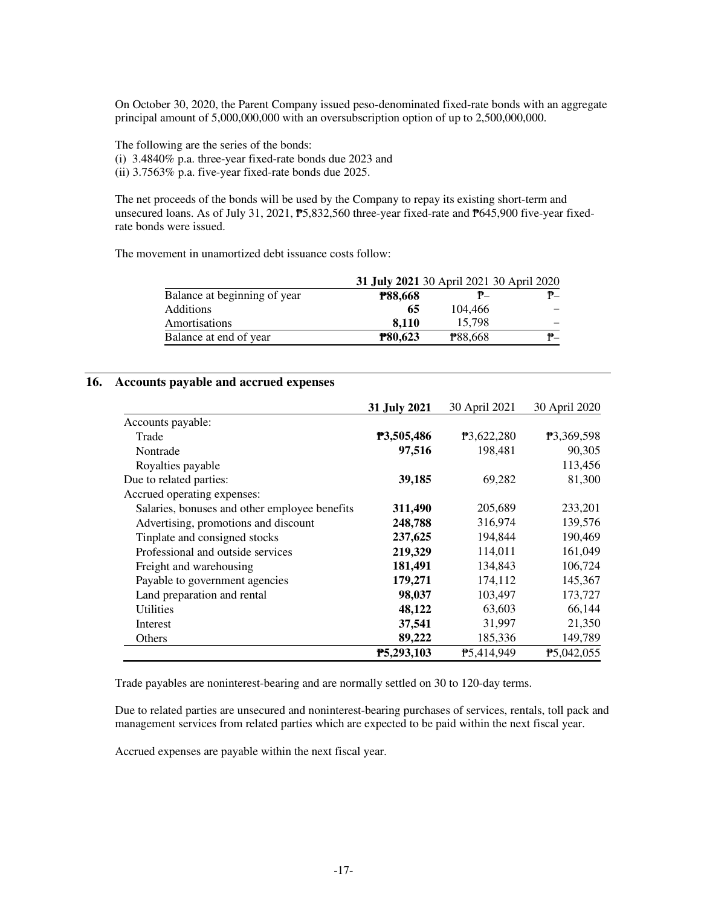On October 30, 2020, the Parent Company issued peso-denominated fixed-rate bonds with an aggregate principal amount of 5,000,000,000 with an oversubscription option of up to 2,500,000,000.

The following are the series of the bonds: (i) 3.4840% p.a. three-year fixed-rate bonds due 2023 and (ii) 3.7563% p.a. five-year fixed-rate bonds due 2025.

The net proceeds of the bonds will be used by the Company to repay its existing short-term and unsecured loans. As of July 31, 2021,  $\overline{P}5,832,560$  three-year fixed-rate and  $\overline{P}645,900$  five-year fixedrate bonds were issued.

The movement in unamortized debt issuance costs follow:

|                              | 31 July 2021 30 April 2021 30 April 2020 |                |    |
|------------------------------|------------------------------------------|----------------|----|
| Balance at beginning of year | <b>P88,668</b>                           | ₱–             | ₱_ |
| <b>Additions</b>             | 65                                       | 104.466        |    |
| Amortisations                | 8.110                                    | 15.798         |    |
| Balance at end of year       | <b>P80,623</b>                           | <b>P88,668</b> | ₱_ |

### **16. Accounts payable and accrued expenses**

|                                               | 31 July 2021 | 30 April 2021 | 30 April 2020 |
|-----------------------------------------------|--------------|---------------|---------------|
| Accounts payable:                             |              |               |               |
| Trade                                         | P3,505,486   | P3,622,280    | P3,369,598    |
| Nontrade                                      | 97,516       | 198,481       | 90,305        |
| Royalties payable                             |              |               | 113,456       |
| Due to related parties:                       | 39,185       | 69,282        | 81,300        |
| Accrued operating expenses:                   |              |               |               |
| Salaries, bonuses and other employee benefits | 311,490      | 205,689       | 233,201       |
| Advertising, promotions and discount          | 248,788      | 316,974       | 139,576       |
| Tinplate and consigned stocks                 | 237,625      | 194,844       | 190,469       |
| Professional and outside services             | 219,329      | 114,011       | 161,049       |
| Freight and warehousing                       | 181,491      | 134,843       | 106,724       |
| Payable to government agencies                | 179,271      | 174,112       | 145,367       |
| Land preparation and rental                   | 98,037       | 103,497       | 173,727       |
| Utilities                                     | 48,122       | 63,603        | 66,144        |
| Interest                                      | 37,541       | 31,997        | 21,350        |
| Others                                        | 89,222       | 185,336       | 149,789       |
|                                               | P5,293,103   | P5,414,949    | P5,042,055    |

Trade payables are noninterest-bearing and are normally settled on 30 to 120-day terms.

Due to related parties are unsecured and noninterest-bearing purchases of services, rentals, toll pack and management services from related parties which are expected to be paid within the next fiscal year.

Accrued expenses are payable within the next fiscal year.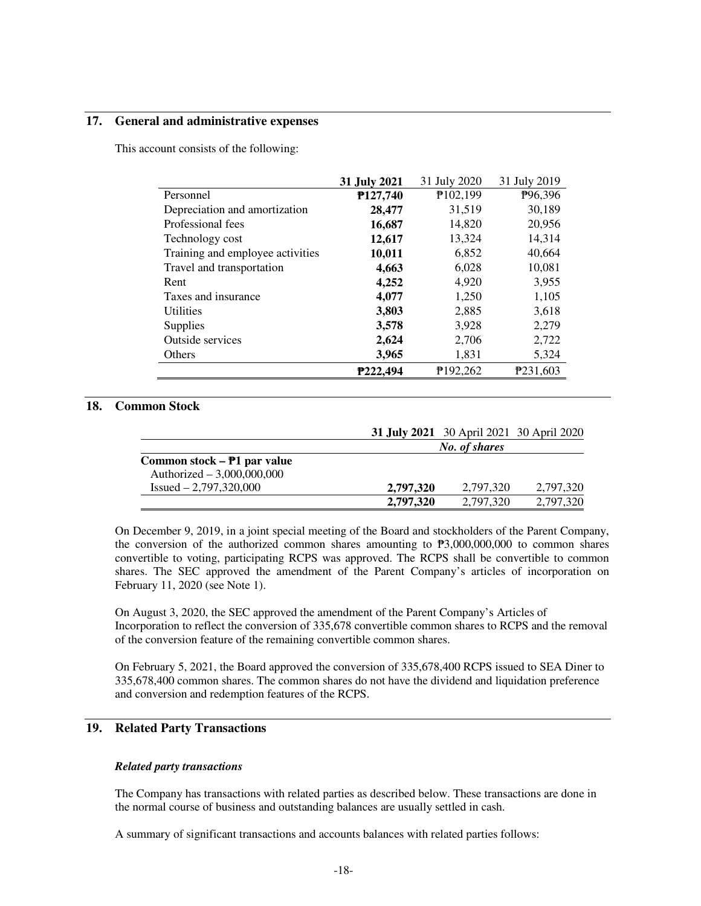#### **17. General and administrative expenses**

This account consists of the following:

|                                  | 31 July 2019<br>31 July 2021<br>31 July 2020 |                      |                      |  |
|----------------------------------|----------------------------------------------|----------------------|----------------------|--|
| Personnel                        | P127,740                                     | P102,199             | P <sub>96</sub> ,396 |  |
| Depreciation and amortization    | 28,477                                       | 31,519               | 30,189               |  |
| Professional fees                | 16,687                                       | 14,820               | 20,956               |  |
| Technology cost                  | 12,617                                       | 13,324               | 14,314               |  |
| Training and employee activities | 10,011                                       | 6,852                | 40,664               |  |
| Travel and transportation        | 4,663                                        | 6,028                | 10,081               |  |
| Rent                             | 4,252                                        | 4,920                | 3,955                |  |
| Taxes and insurance              | 4,077                                        | 1,250                | 1,105                |  |
| Utilities                        | 3,803                                        | 2,885                | 3,618                |  |
| Supplies                         | 3,578                                        | 3,928                | 2,279                |  |
| Outside services                 | 2,624                                        | 2,706                | 2,722                |  |
| Others                           | 3,965                                        | 1,831                | 5,324                |  |
|                                  | P222,494                                     | P <sub>192.262</sub> | P <sub>231.603</sub> |  |

## **18. Common Stock**

|                               | 31 July 2021 30 April 2021 30 April 2020 |               |           |
|-------------------------------|------------------------------------------|---------------|-----------|
|                               |                                          | No. of shares |           |
| Common stock $- P1$ par value |                                          |               |           |
| Authorized $-3,000,000,000$   |                                          |               |           |
| $Issued - 2,797,320,000$      | 2.797.320                                | 2.797.320     | 2.797.320 |
|                               | 2,797,320                                | 2.797.320     | 2,797,320 |

On December 9, 2019, in a joint special meeting of the Board and stockholders of the Parent Company, the conversion of the authorized common shares amounting to  $P3,000,000,000$  to common shares convertible to voting, participating RCPS was approved. The RCPS shall be convertible to common shares. The SEC approved the amendment of the Parent Company's articles of incorporation on February 11, 2020 (see Note 1).

On August 3, 2020, the SEC approved the amendment of the Parent Company's Articles of Incorporation to reflect the conversion of 335,678 convertible common shares to RCPS and the removal of the conversion feature of the remaining convertible common shares.

On February 5, 2021, the Board approved the conversion of 335,678,400 RCPS issued to SEA Diner to 335,678,400 common shares. The common shares do not have the dividend and liquidation preference and conversion and redemption features of the RCPS.

## **19. Related Party Transactions**

#### *Related party transactions*

The Company has transactions with related parties as described below. These transactions are done in the normal course of business and outstanding balances are usually settled in cash.

A summary of significant transactions and accounts balances with related parties follows: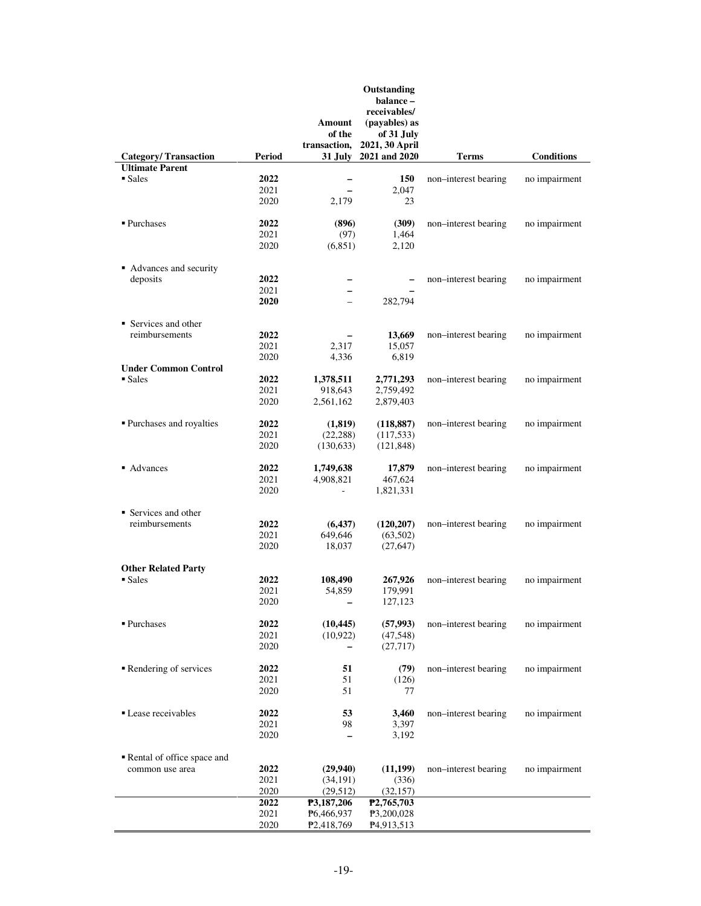|                                   |        | Amount<br>of the<br>transaction, | Outstanding<br>balance -<br>receivables/<br>(payables) as<br>of 31 July<br>2021, 30 April |                      |                   |
|-----------------------------------|--------|----------------------------------|-------------------------------------------------------------------------------------------|----------------------|-------------------|
| <b>Category/Transaction</b>       | Period | 31 July                          | 2021 and 2020                                                                             | <b>Terms</b>         | <b>Conditions</b> |
| <b>Ultimate Parent</b>            |        |                                  |                                                                                           |                      |                   |
| $\blacksquare$ Sales              | 2022   | -                                | 150                                                                                       | non-interest bearing | no impairment     |
|                                   | 2021   | $\overline{\phantom{0}}$         | 2,047                                                                                     |                      |                   |
|                                   | 2020   | 2,179                            | 23                                                                                        |                      |                   |
|                                   |        |                                  |                                                                                           |                      |                   |
| ■ Purchases                       | 2022   | (896)                            | (309)                                                                                     | non-interest bearing | no impairment     |
|                                   | 2021   | (97)                             | 1,464                                                                                     |                      |                   |
|                                   | 2020   | (6, 851)                         | 2,120                                                                                     |                      |                   |
|                                   |        |                                  |                                                                                           |                      |                   |
| • Advances and security           |        |                                  |                                                                                           |                      |                   |
| deposits                          | 2022   | -                                | $\overline{\phantom{0}}$                                                                  | non-interest bearing | no impairment     |
|                                   | 2021   | $\overline{\phantom{0}}$         |                                                                                           |                      |                   |
|                                   | 2020   |                                  | 282,794                                                                                   |                      |                   |
| $\blacksquare$ Services and other |        |                                  |                                                                                           |                      |                   |
| reimbursements                    | 2022   |                                  | 13,669                                                                                    | non-interest bearing |                   |
|                                   |        |                                  |                                                                                           |                      | no impairment     |
|                                   | 2021   | 2,317                            | 15,057                                                                                    |                      |                   |
|                                   | 2020   | 4,336                            | 6,819                                                                                     |                      |                   |
| <b>Under Common Control</b>       |        |                                  |                                                                                           |                      |                   |
| $\blacksquare$ Sales              | 2022   | 1,378,511                        | 2,771,293                                                                                 | non-interest bearing | no impairment     |
|                                   | 2021   | 918,643                          | 2,759,492                                                                                 |                      |                   |
|                                   | 2020   | 2,561,162                        | 2,879,403                                                                                 |                      |                   |
| ■ Purchases and royalties         | 2022   | (1,819)                          | (118, 887)                                                                                | non-interest bearing | no impairment     |
|                                   | 2021   | (22, 288)                        | (117, 533)                                                                                |                      |                   |
|                                   | 2020   |                                  |                                                                                           |                      |                   |
|                                   |        | (130, 633)                       | (121, 848)                                                                                |                      |                   |
| • Advances                        | 2022   | 1,749,638                        | 17,879                                                                                    | non-interest bearing | no impairment     |
|                                   | 2021   | 4,908,821                        | 467,624                                                                                   |                      |                   |
|                                   | 2020   | $\overline{\phantom{a}}$         | 1,821,331                                                                                 |                      |                   |
|                                   |        |                                  |                                                                                           |                      |                   |
| • Services and other              |        |                                  |                                                                                           |                      |                   |
| reimbursements                    | 2022   | (6, 437)                         | (120, 207)                                                                                | non-interest bearing | no impairment     |
|                                   | 2021   | 649,646                          | (63,502)                                                                                  |                      |                   |
|                                   | 2020   | 18,037                           | (27, 647)                                                                                 |                      |                   |
|                                   |        |                                  |                                                                                           |                      |                   |
| <b>Other Related Party</b>        |        |                                  |                                                                                           |                      |                   |
| $\blacksquare$ Sales              | 2022   | 108,490                          | 267,926                                                                                   | non-interest bearing | no impairment     |
|                                   | 2021   | 54,859                           | 179,991                                                                                   |                      |                   |
|                                   | 2020   |                                  | 127,123                                                                                   |                      |                   |
|                                   |        |                                  |                                                                                           |                      |                   |
| ■ Purchases                       | 2022   | (10, 445)                        | (57,993)                                                                                  | non-interest bearing | no impairment     |
|                                   | 2021   | (10, 922)                        | (47,548)                                                                                  |                      |                   |
|                                   | 2020   | -                                | (27,717)                                                                                  |                      |                   |
| Rendering of services             | 2022   | 51                               | (79)                                                                                      | non-interest bearing | no impairment     |
|                                   | 2021   | 51                               | (126)                                                                                     |                      |                   |
|                                   | 2020   | 51                               | 77                                                                                        |                      |                   |
|                                   |        |                                  |                                                                                           |                      |                   |
| • Lease receivables               | 2022   | 53                               | 3,460                                                                                     | non-interest bearing | no impairment     |
|                                   | 2021   | 98                               | 3,397                                                                                     |                      |                   |
|                                   | 2020   |                                  | 3,192                                                                                     |                      |                   |
|                                   |        |                                  |                                                                                           |                      |                   |
| Rental of office space and        |        |                                  |                                                                                           |                      |                   |
| common use area                   | 2022   | (29,940)                         | (11, 199)                                                                                 | non-interest bearing | no impairment     |
|                                   | 2021   | (34, 191)                        | (336)                                                                                     |                      |                   |
|                                   | 2020   | (29,512)                         | (32, 157)                                                                                 |                      |                   |
|                                   | 2022   | P3,187,206                       | P <sub>2</sub> ,765,703                                                                   |                      |                   |
|                                   | 2021   | P6,466,937                       | P3,200,028                                                                                |                      |                   |
|                                   | 2020   | P <sub>2</sub> ,418,769          | P <sub>4</sub> ,913,513                                                                   |                      |                   |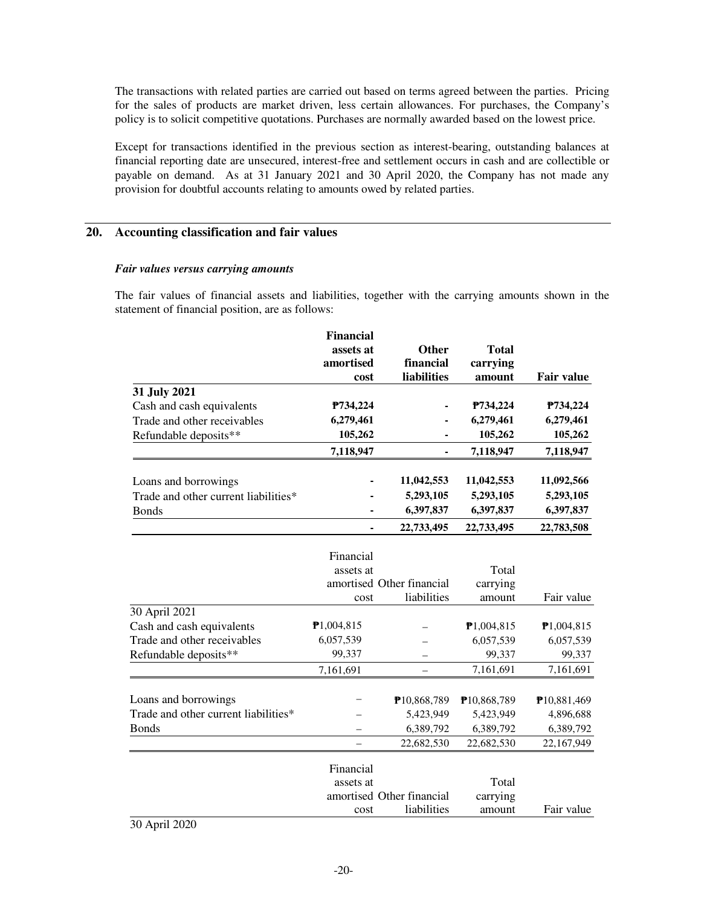The transactions with related parties are carried out based on terms agreed between the parties. Pricing for the sales of products are market driven, less certain allowances. For purchases, the Company's policy is to solicit competitive quotations. Purchases are normally awarded based on the lowest price.

Except for transactions identified in the previous section as interest-bearing, outstanding balances at financial reporting date are unsecured, interest-free and settlement occurs in cash and are collectible or payable on demand. As at 31 January 2021 and 30 April 2020, the Company has not made any provision for doubtful accounts relating to amounts owed by related parties.

## **20. Accounting classification and fair values**

#### *Fair values versus carrying amounts*

The fair values of financial assets and liabilities, together with the carrying amounts shown in the statement of financial position, are as follows:

|                                      | <b>Financial</b>       |                           |                    |                   |
|--------------------------------------|------------------------|---------------------------|--------------------|-------------------|
|                                      | assets at<br>amortised | Other                     | <b>Total</b>       |                   |
|                                      | cost                   | financial<br>liabilities  | carrying<br>amount | <b>Fair value</b> |
| 31 July 2021                         |                        |                           |                    |                   |
| Cash and cash equivalents            | P734,224               |                           | P734,224           | P734,224          |
| Trade and other receivables          | 6,279,461              |                           | 6,279,461          | 6,279,461         |
| Refundable deposits**                | 105,262                |                           | 105,262            | 105,262           |
|                                      | 7,118,947              |                           | 7,118,947          | 7,118,947         |
|                                      |                        |                           |                    |                   |
| Loans and borrowings                 |                        | 11,042,553                | 11,042,553         | 11,092,566        |
| Trade and other current liabilities* |                        | 5,293,105                 | 5,293,105          | 5,293,105         |
| <b>Bonds</b>                         |                        | 6,397,837                 | 6,397,837          | 6,397,837         |
|                                      |                        | 22,733,495                | 22,733,495         | 22,783,508        |
|                                      |                        |                           |                    |                   |
|                                      | Financial              |                           |                    |                   |
|                                      | assets at              |                           | Total              |                   |
|                                      |                        | amortised Other financial | carrying           |                   |
|                                      | cost                   | liabilities               | amount             | Fair value        |
| 30 April 2021                        |                        |                           |                    |                   |
| Cash and cash equivalents            | P1,004,815             |                           | P1,004,815         | P1,004,815        |
| Trade and other receivables          | 6,057,539              |                           | 6,057,539          | 6,057,539         |
| Refundable deposits**                | 99,337                 |                           | 99,337             | 99,337            |
|                                      | 7,161,691              |                           | 7,161,691          | 7,161,691         |
|                                      |                        |                           |                    |                   |
| Loans and borrowings                 |                        | P10,868,789               | P10,868,789        | P10,881,469       |
| Trade and other current liabilities* |                        | 5,423,949                 | 5,423,949          | 4,896,688         |
| <b>Bonds</b>                         |                        | 6,389,792                 | 6,389,792          | 6,389,792         |
|                                      |                        | 22,682,530                | 22,682,530         | 22,167,949        |
|                                      | Financial              |                           |                    |                   |
|                                      | assets at              |                           | Total              |                   |
|                                      |                        | amortised Other financial | carrying           |                   |
|                                      | cost                   | liabilities               | amount             | Fair value        |
| 1.0000<br>$\sim$ $\sim$              |                        |                           |                    |                   |

30 April 2020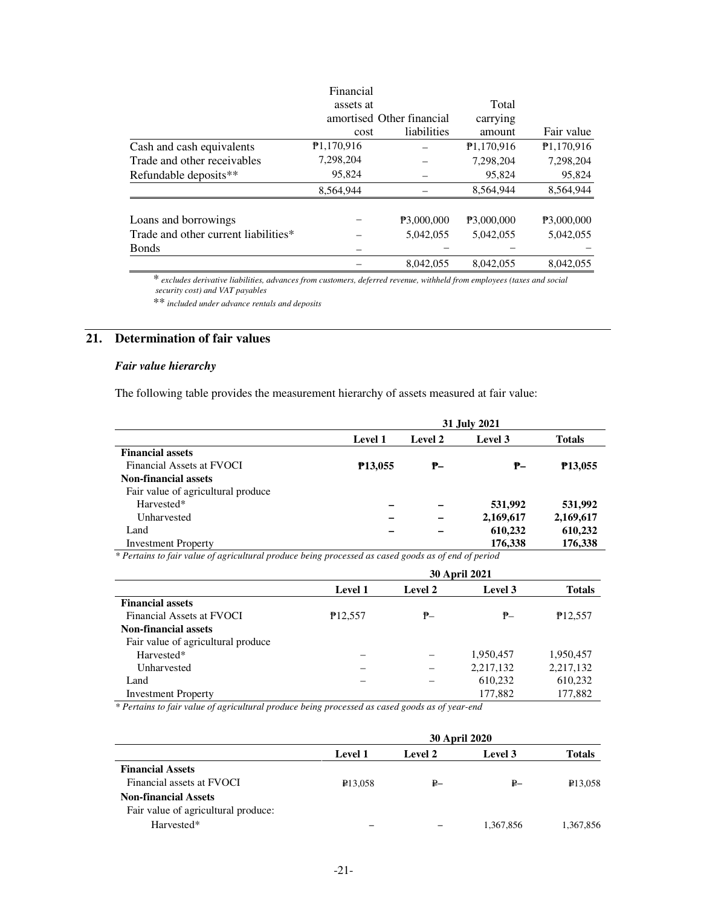|                                      | Financial  |                           |            |            |
|--------------------------------------|------------|---------------------------|------------|------------|
|                                      | assets at  |                           | Total      |            |
|                                      |            | amortised Other financial | carrying   |            |
|                                      | cost       | liabilities               | amount     | Fair value |
| Cash and cash equivalents            | P1,170,916 |                           | P1,170,916 | P1,170,916 |
| Trade and other receivables          | 7,298,204  |                           | 7,298,204  | 7,298,204  |
| Refundable deposits**                | 95.824     |                           | 95,824     | 95,824     |
|                                      | 8.564.944  |                           | 8,564,944  | 8.564.944  |
| Loans and borrowings                 |            | P3,000,000                | P3.000.000 | P3,000,000 |
| Trade and other current liabilities* |            | 5,042,055                 | 5.042.055  | 5,042,055  |
| <b>Bonds</b>                         |            |                           |            |            |
|                                      |            | 8.042.055                 | 8.042.055  | 8,042,055  |

\* *excludes derivative liabilities, advances from customers, deferred revenue, withheld from employees (taxes and social security cost) and VAT payables* 

\*\* *included under advance rentals and deposits* 

## **21. Determination of fair values**

## *Fair value hierarchy*

The following table provides the measurement hierarchy of assets measured at fair value:

|                                    | 31 July 2021         |         |           |                     |  |
|------------------------------------|----------------------|---------|-----------|---------------------|--|
|                                    | <b>Level 1</b>       | Level 2 | Level 3   | <b>Totals</b>       |  |
| <b>Financial assets</b>            |                      |         |           |                     |  |
| Financial Assets at FVOCI          | P <sub>13</sub> ,055 | ₱–      | ₱–        | P <sub>13.055</sub> |  |
| <b>Non-financial assets</b>        |                      |         |           |                     |  |
| Fair value of agricultural produce |                      |         |           |                     |  |
| Harvested*                         |                      |         | 531,992   | 531,992             |  |
| Unharvested                        |                      |         | 2,169,617 | 2,169,617           |  |
| Land                               |                      |         | 610,232   | 610,232             |  |
| <b>Investment Property</b>         | $\sim$               |         | 176,338   | 176,338             |  |

*\* Pertains to fair value of agricultural produce being processed as cased goods as of end of period*

|                                    | <b>30 April 2021</b> |         |           |                      |  |
|------------------------------------|----------------------|---------|-----------|----------------------|--|
|                                    | <b>Level 1</b>       | Level 2 | Level 3   | <b>Totals</b>        |  |
| <b>Financial assets</b>            |                      |         |           |                      |  |
| Financial Assets at FVOCI          | P <sub>12</sub> ,557 | ₱–      | ₱–        | P <sub>12</sub> ,557 |  |
| <b>Non-financial assets</b>        |                      |         |           |                      |  |
| Fair value of agricultural produce |                      |         |           |                      |  |
| Harvested*                         |                      |         | 1,950,457 | 1,950,457            |  |
| Unharvested                        |                      |         | 2,217,132 | 2,217,132            |  |
| Land                               |                      |         | 610,232   | 610,232              |  |
| <b>Investment Property</b>         |                      |         | 177,882   | 177,882              |  |

*\* Pertains to fair value of agricultural produce being processed as cased goods as of year-end*

|                                     | <b>30 April 2020</b> |         |           |               |  |
|-------------------------------------|----------------------|---------|-----------|---------------|--|
|                                     | <b>Level 1</b>       | Level 2 | Level 3   | <b>Totals</b> |  |
| <b>Financial Assets</b>             |                      |         |           |               |  |
| Financial assets at FVOCI           | <b>P13,058</b>       | ₽–      | ₽–        | ₽13,058       |  |
| <b>Non-financial Assets</b>         |                      |         |           |               |  |
| Fair value of agricultural produce: |                      |         |           |               |  |
| Harvested*                          |                      |         | 1,367,856 | 1,367,856     |  |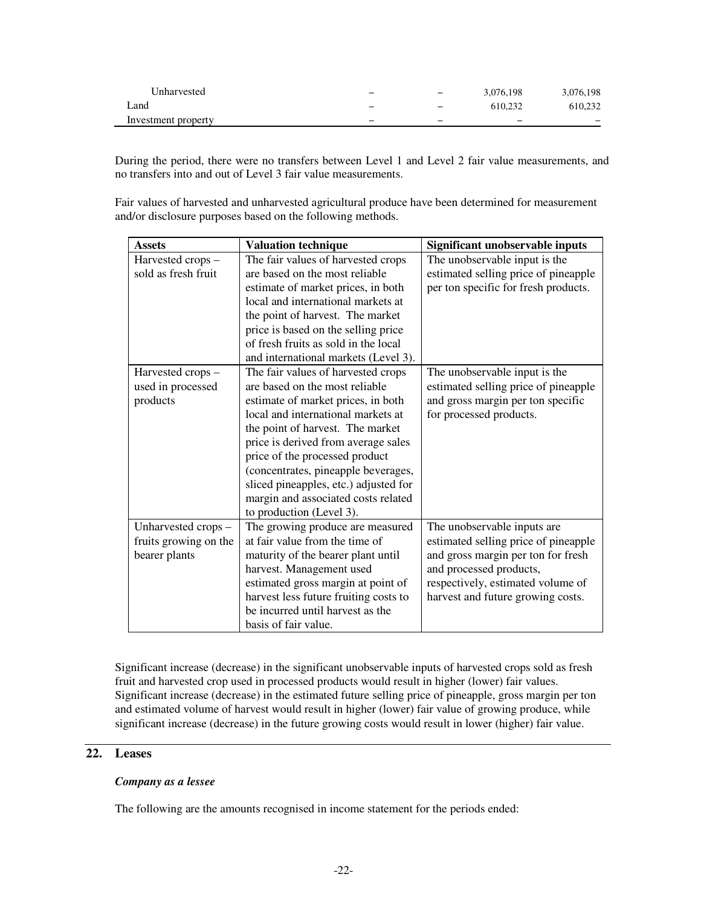| Unharvested         | - | $\overline{\phantom{0}}$ | 3.076.198 | 3,076,198                |
|---------------------|---|--------------------------|-----------|--------------------------|
| ∟and                | - | $\overline{\phantom{0}}$ | 610.232   | 610.232                  |
| Investment property | - | -                        | -         | $\overline{\phantom{0}}$ |

During the period, there were no transfers between Level 1 and Level 2 fair value measurements, and no transfers into and out of Level 3 fair value measurements.

Fair values of harvested and unharvested agricultural produce have been determined for measurement and/or disclosure purposes based on the following methods.

| <b>Assets</b>         | <b>Valuation technique</b>            | Significant unobservable inputs      |
|-----------------------|---------------------------------------|--------------------------------------|
| Harvested crops -     | The fair values of harvested crops    | The unobservable input is the        |
| sold as fresh fruit   | are based on the most reliable        | estimated selling price of pineapple |
|                       | estimate of market prices, in both    | per ton specific for fresh products. |
|                       | local and international markets at    |                                      |
|                       | the point of harvest. The market      |                                      |
|                       | price is based on the selling price   |                                      |
|                       | of fresh fruits as sold in the local  |                                      |
|                       | and international markets (Level 3).  |                                      |
| Harvested crops -     | The fair values of harvested crops    | The unobservable input is the        |
| used in processed     | are based on the most reliable        | estimated selling price of pineapple |
| products              | estimate of market prices, in both    | and gross margin per ton specific    |
|                       | local and international markets at    | for processed products.              |
|                       | the point of harvest. The market      |                                      |
|                       | price is derived from average sales   |                                      |
|                       | price of the processed product        |                                      |
|                       | (concentrates, pineapple beverages,   |                                      |
|                       | sliced pineapples, etc.) adjusted for |                                      |
|                       | margin and associated costs related   |                                      |
|                       | to production (Level 3).              |                                      |
| Unharvested crops -   | The growing produce are measured      | The unobservable inputs are          |
| fruits growing on the | at fair value from the time of        | estimated selling price of pineapple |
| bearer plants         | maturity of the bearer plant until    | and gross margin per ton for fresh   |
|                       | harvest. Management used              | and processed products,              |
|                       | estimated gross margin at point of    | respectively, estimated volume of    |
|                       | harvest less future fruiting costs to | harvest and future growing costs.    |
|                       | be incurred until harvest as the      |                                      |
|                       | basis of fair value.                  |                                      |

Significant increase (decrease) in the significant unobservable inputs of harvested crops sold as fresh fruit and harvested crop used in processed products would result in higher (lower) fair values. Significant increase (decrease) in the estimated future selling price of pineapple, gross margin per ton and estimated volume of harvest would result in higher (lower) fair value of growing produce, while significant increase (decrease) in the future growing costs would result in lower (higher) fair value.

## **22. Leases**

#### *Company as a lessee*

The following are the amounts recognised in income statement for the periods ended: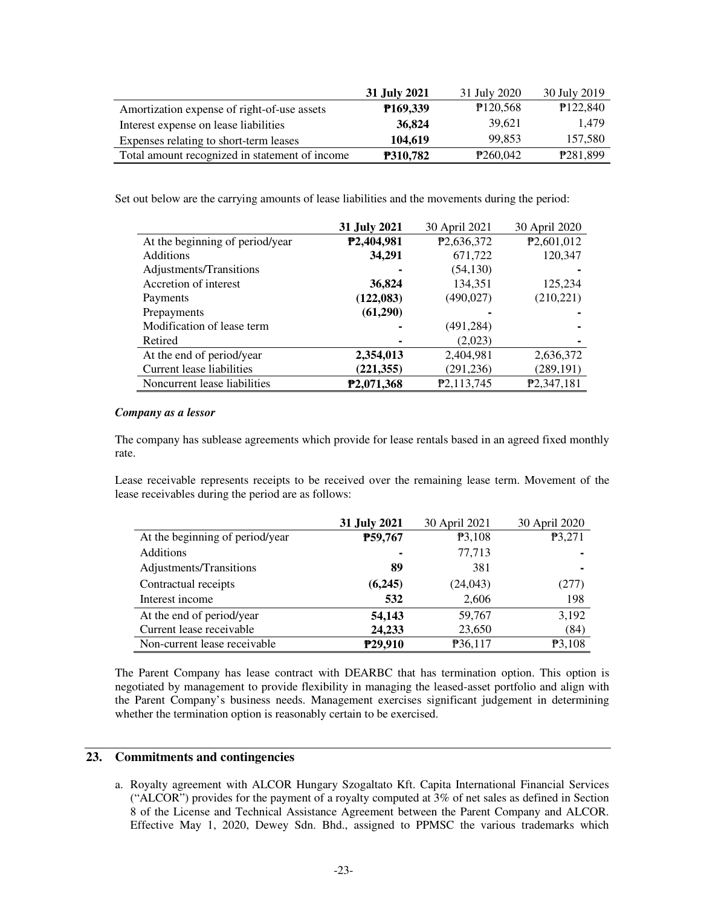|                                                | 31 July 2021           | 31 July 2020          | 30 July 2019 |
|------------------------------------------------|------------------------|-----------------------|--------------|
| Amortization expense of right-of-use assets    | P <sub>169</sub> , 339 | P120,568              | P122,840     |
| Interest expense on lease liabilities          | 36,824                 | 39.621                | 1.479        |
| Expenses relating to short-term leases         | 104.619                | 99.853                | 157.580      |
| Total amount recognized in statement of income | <b>P310,782</b>        | P <sub>260</sub> ,042 | P281,899     |

Set out below are the carrying amounts of lease liabilities and the movements during the period:

|                                 | 31 July 2021            | 30 April 2021           | 30 April 2020             |
|---------------------------------|-------------------------|-------------------------|---------------------------|
| At the beginning of period/year | P2,404,981              | P <sub>2</sub> ,636,372 | P <sub>2</sub> ,601,012   |
| <b>Additions</b>                | 34,291                  | 671,722                 | 120,347                   |
| Adjustments/Transitions         |                         | (54, 130)               |                           |
| Accretion of interest           | 36,824                  | 134,351                 | 125,234                   |
| Payments                        | (122, 083)              | (490, 027)              | (210, 221)                |
| Prepayments                     | (61,290)                | ۰                       |                           |
| Modification of lease term      |                         | (491, 284)              |                           |
| Retired                         |                         | (2,023)                 |                           |
| At the end of period/year       | 2,354,013               | 2,404,981               | 2,636,372                 |
| Current lease liabilities       | (221, 355)              | (291, 236)              | (289, 191)                |
| Noncurrent lease liabilities    | P <sub>2</sub> ,071,368 | P <sub>2</sub> ,113,745 | P <sub>2</sub> , 347, 181 |

#### *Company as a lessor*

The company has sublease agreements which provide for lease rentals based in an agreed fixed monthly rate.

Lease receivable represents receipts to be received over the remaining lease term. Movement of the lease receivables during the period are as follows:

|                                 | 31 July 2021        | 30 April 2021 | 30 April 2020 |
|---------------------------------|---------------------|---------------|---------------|
| At the beginning of period/year | P59,767             | P3,108        | P3,271        |
| <b>Additions</b>                |                     | 77,713        |               |
| Adjustments/Transitions         | 89                  | 381           |               |
| Contractual receipts            | (6,245)             | (24, 043)     | (277)         |
| Interest income                 | 532                 | 2,606         | 198           |
| At the end of period/year       | 54,143              | 59,767        | 3,192         |
| Current lease receivable        | 24,233              | 23,650        | (84)          |
| Non-current lease receivable    | P <sub>29,910</sub> | P36,117       | P3,108        |

The Parent Company has lease contract with DEARBC that has termination option. This option is negotiated by management to provide flexibility in managing the leased-asset portfolio and align with the Parent Company's business needs. Management exercises significant judgement in determining whether the termination option is reasonably certain to be exercised.

#### **23. Commitments and contingencies**

a. Royalty agreement with ALCOR Hungary Szogaltato Kft. Capita International Financial Services ("ALCOR") provides for the payment of a royalty computed at 3% of net sales as defined in Section 8 of the License and Technical Assistance Agreement between the Parent Company and ALCOR. Effective May 1, 2020, Dewey Sdn. Bhd., assigned to PPMSC the various trademarks which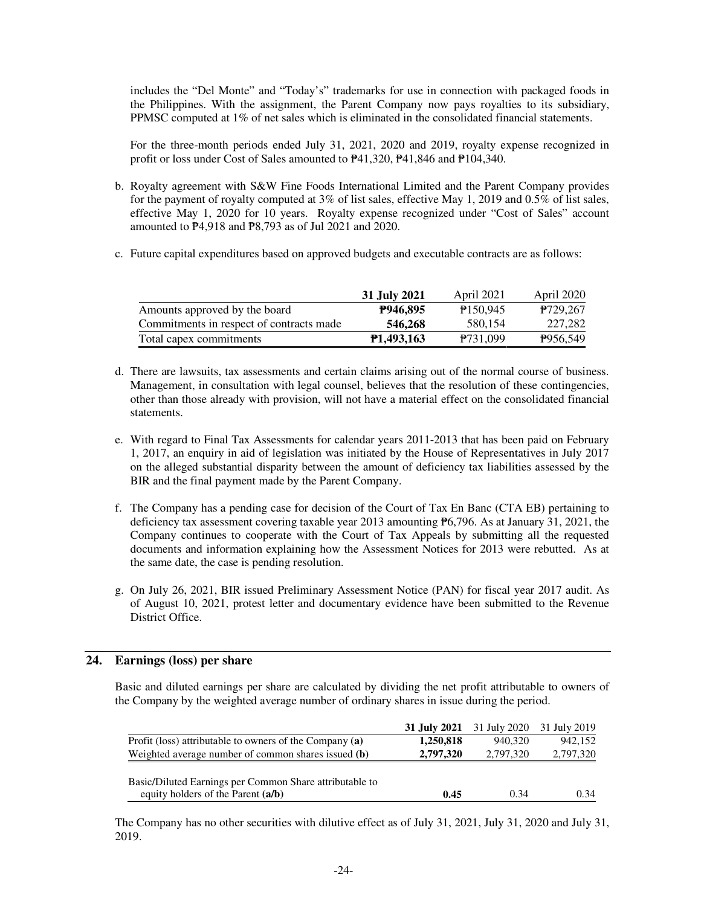includes the "Del Monte" and "Today's" trademarks for use in connection with packaged foods in the Philippines. With the assignment, the Parent Company now pays royalties to its subsidiary, PPMSC computed at 1% of net sales which is eliminated in the consolidated financial statements.

For the three-month periods ended July 31, 2021, 2020 and 2019, royalty expense recognized in profit or loss under Cost of Sales amounted to ₱41,320, ₱41,846 and ₱104,340.

- b. Royalty agreement with S&W Fine Foods International Limited and the Parent Company provides for the payment of royalty computed at 3% of list sales, effective May 1, 2019 and 0.5% of list sales, effective May 1, 2020 for 10 years. Royalty expense recognized under "Cost of Sales" account amounted to ₱4,918 and ₱8,793 as of Jul 2021 and 2020.
- c. Future capital expenditures based on approved budgets and executable contracts are as follows:

|                                          | 31 July 2021 | April 2021       | April 2020           |
|------------------------------------------|--------------|------------------|----------------------|
| Amounts approved by the board            | P946.895     | P150.945         | P <sub>729.267</sub> |
| Commitments in respect of contracts made | 546,268      | 580.154          | 227.282              |
| Total capex commitments                  | P1.493.163   | <b>P</b> 731.099 | P956,549             |

- d. There are lawsuits, tax assessments and certain claims arising out of the normal course of business. Management, in consultation with legal counsel, believes that the resolution of these contingencies, other than those already with provision, will not have a material effect on the consolidated financial statements.
- e. With regard to Final Tax Assessments for calendar years 2011-2013 that has been paid on February 1, 2017, an enquiry in aid of legislation was initiated by the House of Representatives in July 2017 on the alleged substantial disparity between the amount of deficiency tax liabilities assessed by the BIR and the final payment made by the Parent Company.
- f. The Company has a pending case for decision of the Court of Tax En Banc (CTA EB) pertaining to deficiency tax assessment covering taxable year 2013 amounting ₱6,796. As at January 31, 2021, the Company continues to cooperate with the Court of Tax Appeals by submitting all the requested documents and information explaining how the Assessment Notices for 2013 were rebutted. As at the same date, the case is pending resolution.
- g. On July 26, 2021, BIR issued Preliminary Assessment Notice (PAN) for fiscal year 2017 audit. As of August 10, 2021, protest letter and documentary evidence have been submitted to the Revenue District Office.

#### **24. Earnings (loss) per share**

Basic and diluted earnings per share are calculated by dividing the net profit attributable to owners of the Company by the weighted average number of ordinary shares in issue during the period.

|                                                         |           | <b>31 July 2021</b> 31 July 2020 31 July 2019 |           |
|---------------------------------------------------------|-----------|-----------------------------------------------|-----------|
| Profit (loss) attributable to owners of the Company (a) | 1,250,818 | 940,320                                       | 942,152   |
| Weighted average number of common shares issued (b)     | 2.797.320 | 2.797.320                                     | 2,797,320 |
|                                                         |           |                                               |           |
| Basic/Diluted Earnings per Common Share attributable to |           |                                               |           |
| equity holders of the Parent (a/b)                      | 0.45      | 0.34                                          | 0.34      |

The Company has no other securities with dilutive effect as of July 31, 2021, July 31, 2020 and July 31, 2019.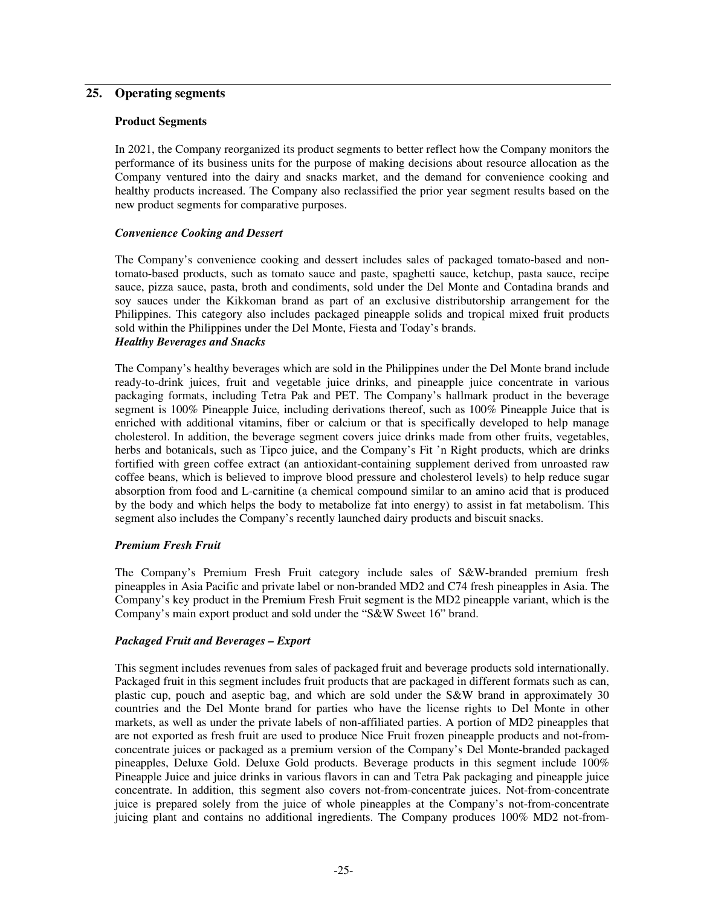## **25. Operating segments**

#### **Product Segments**

In 2021, the Company reorganized its product segments to better reflect how the Company monitors the performance of its business units for the purpose of making decisions about resource allocation as the Company ventured into the dairy and snacks market, and the demand for convenience cooking and healthy products increased. The Company also reclassified the prior year segment results based on the new product segments for comparative purposes.

#### *Convenience Cooking and Dessert*

The Company's convenience cooking and dessert includes sales of packaged tomato-based and nontomato-based products, such as tomato sauce and paste, spaghetti sauce, ketchup, pasta sauce, recipe sauce, pizza sauce, pasta, broth and condiments, sold under the Del Monte and Contadina brands and soy sauces under the Kikkoman brand as part of an exclusive distributorship arrangement for the Philippines. This category also includes packaged pineapple solids and tropical mixed fruit products sold within the Philippines under the Del Monte, Fiesta and Today's brands. *Healthy Beverages and Snacks* 

The Company's healthy beverages which are sold in the Philippines under the Del Monte brand include ready-to-drink juices, fruit and vegetable juice drinks, and pineapple juice concentrate in various packaging formats, including Tetra Pak and PET. The Company's hallmark product in the beverage segment is 100% Pineapple Juice, including derivations thereof, such as 100% Pineapple Juice that is enriched with additional vitamins, fiber or calcium or that is specifically developed to help manage cholesterol. In addition, the beverage segment covers juice drinks made from other fruits, vegetables, herbs and botanicals, such as Tipco juice, and the Company's Fit 'n Right products, which are drinks fortified with green coffee extract (an antioxidant-containing supplement derived from unroasted raw coffee beans, which is believed to improve blood pressure and cholesterol levels) to help reduce sugar absorption from food and L-carnitine (a chemical compound similar to an amino acid that is produced by the body and which helps the body to metabolize fat into energy) to assist in fat metabolism. This segment also includes the Company's recently launched dairy products and biscuit snacks.

#### *Premium Fresh Fruit*

The Company's Premium Fresh Fruit category include sales of S&W-branded premium fresh pineapples in Asia Pacific and private label or non-branded MD2 and C74 fresh pineapples in Asia. The Company's key product in the Premium Fresh Fruit segment is the MD2 pineapple variant, which is the Company's main export product and sold under the "S&W Sweet 16" brand.

#### *Packaged Fruit and Beverages – Export*

This segment includes revenues from sales of packaged fruit and beverage products sold internationally. Packaged fruit in this segment includes fruit products that are packaged in different formats such as can, plastic cup, pouch and aseptic bag, and which are sold under the S&W brand in approximately 30 countries and the Del Monte brand for parties who have the license rights to Del Monte in other markets, as well as under the private labels of non-affiliated parties. A portion of MD2 pineapples that are not exported as fresh fruit are used to produce Nice Fruit frozen pineapple products and not-fromconcentrate juices or packaged as a premium version of the Company's Del Monte-branded packaged pineapples, Deluxe Gold. Deluxe Gold products. Beverage products in this segment include 100% Pineapple Juice and juice drinks in various flavors in can and Tetra Pak packaging and pineapple juice concentrate. In addition, this segment also covers not-from-concentrate juices. Not-from-concentrate juice is prepared solely from the juice of whole pineapples at the Company's not-from-concentrate juicing plant and contains no additional ingredients. The Company produces 100% MD2 not-from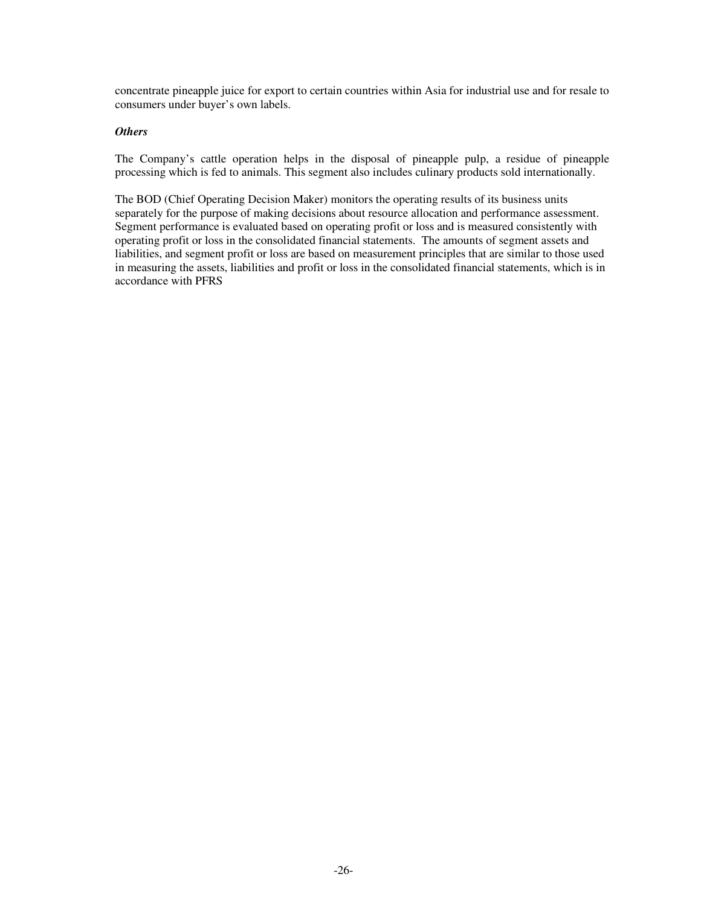concentrate pineapple juice for export to certain countries within Asia for industrial use and for resale to consumers under buyer's own labels.

### *Others*

The Company's cattle operation helps in the disposal of pineapple pulp, a residue of pineapple processing which is fed to animals. This segment also includes culinary products sold internationally.

The BOD (Chief Operating Decision Maker) monitors the operating results of its business units separately for the purpose of making decisions about resource allocation and performance assessment. Segment performance is evaluated based on operating profit or loss and is measured consistently with operating profit or loss in the consolidated financial statements. The amounts of segment assets and liabilities, and segment profit or loss are based on measurement principles that are similar to those used in measuring the assets, liabilities and profit or loss in the consolidated financial statements, which is in accordance with PFRS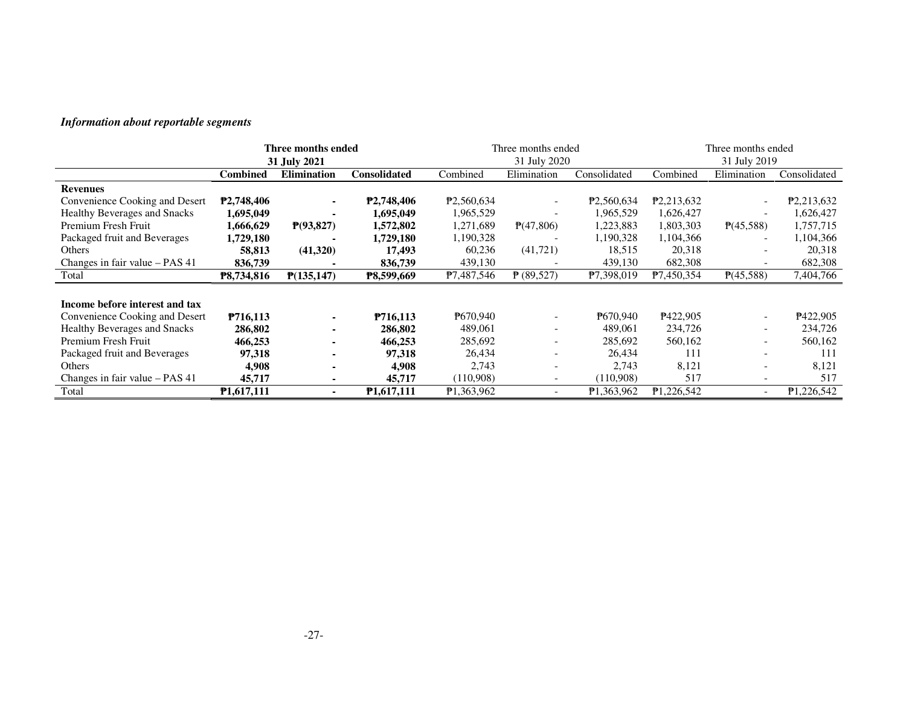| Information about reportable segments |                 |                          |              |            |                          |                         |                         |                        |                         |
|---------------------------------------|-----------------|--------------------------|--------------|------------|--------------------------|-------------------------|-------------------------|------------------------|-------------------------|
|                                       |                 | Three months ended       |              |            | Three months ended       |                         |                         | Three months ended     |                         |
|                                       |                 | 31 July 2021             |              |            | 31 July 2020             |                         |                         | 31 July 2019           |                         |
|                                       | <b>Combined</b> | Elimination              | Consolidated | Combined   | Elimination              | Consolidated            | Combined                | Elimination            | Consolidated            |
| <b>Revenues</b>                       |                 |                          |              |            |                          |                         |                         |                        |                         |
| Convenience Cooking and Desert        | P2,748,406      |                          | P2,748,406   | P2,560,634 |                          | P <sub>2</sub> ,560,634 | P <sub>2</sub> ,213,632 |                        | P <sub>2</sub> ,213,632 |
| <b>Healthy Beverages and Snacks</b>   | 1,695,049       |                          | 1,695,049    | 1,965,529  | $\overline{\phantom{a}}$ | 1,965,529               | 1,626,427               | $\sim$                 | 1,626,427               |
| Premium Fresh Fruit                   | 1,666,629       | P(93,827)                | 1,572,802    | 1,271,689  | P(47,806)                | 1,223,883               | 1,803,303               | P(45,588)              | 1,757,715               |
| Packaged fruit and Beverages          | 1,729,180       |                          | 1,729,180    | 1,190,328  |                          | 1,190,328               | 1,104,366               |                        | 1,104,366               |
| Others                                | 58,813          | (41, 320)                | 17,493       | 60,236     | (41, 721)                | 18,515                  | 20,318                  |                        | 20,318                  |
| Changes in fair value – PAS 41        | 836,739         |                          | 836,739      | 439,130    |                          | 439,130                 | 682,308                 |                        | 682,308                 |
| Total                                 | P8,734,816      | P(135, 147)              | P8,599,669   | P7,487,546 | $\sqrt{P(89,527)}$       | $\overline{P7,398,019}$ | $\overline{P7,450,354}$ | $\overline{P(45,588)}$ | 7,404,766               |
|                                       |                 |                          |              |            |                          |                         |                         |                        |                         |
| Income before interest and tax        |                 |                          |              |            |                          |                         |                         |                        |                         |
| Convenience Cooking and Desert        | P716,113        | $\overline{\phantom{a}}$ | P716,113     | P670,940   | $\overline{\phantom{a}}$ | P670,940                | P422,905                | $\overline{a}$         | P422,905                |
| <b>Healthy Beverages and Snacks</b>   | 286,802         |                          | 286,802      | 489,061    | $\overline{\phantom{a}}$ | 489,061                 | 234,726                 |                        | 234,726                 |
| Premium Fresh Fruit                   | 466,253         |                          | 466,253      | 285,692    | $\blacksquare$           | 285,692                 | 560,162                 | L,                     | 560,162                 |
| Packaged fruit and Beverages          | 97,318          | ä,                       | 97,318       | 26,434     | $\blacksquare$           | 26,434                  | 111                     | $\overline{a}$         | 111                     |
| Others                                | 4,908           |                          | 4,908        | 2,743      | $\blacksquare$           | 2,743                   | 8,121                   | L,                     | 8,121                   |
| Changes in fair value - PAS 41        | 45,717          | -                        | 45,717       | (110,908)  | $\overline{\phantom{a}}$ | (110,908)               | 517                     | L,                     | 517                     |
| Total                                 | P1,617,111      | $\blacksquare$           | P1,617,111   | P1,363,962 | $\overline{\phantom{a}}$ | P1,363,962              | ₱1,226,542              | $\blacksquare$         | P1,226,542              |
|                                       |                 |                          |              |            |                          |                         |                         |                        |                         |
|                                       |                 |                          |              |            |                          |                         |                         |                        |                         |
|                                       |                 | $-27-$                   |              |            |                          |                         |                         |                        |                         |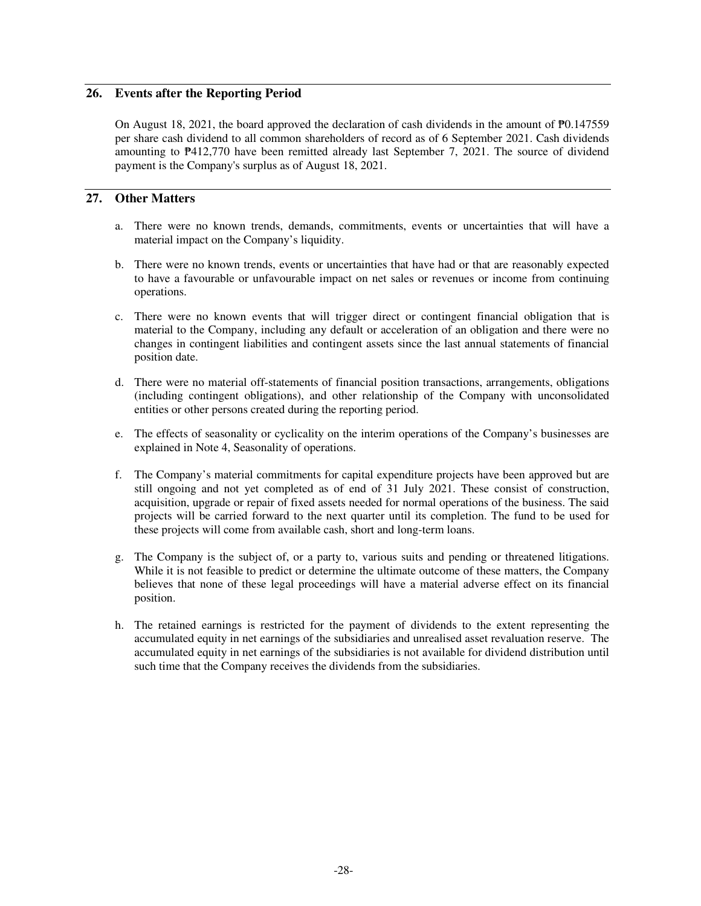## **26. Events after the Reporting Period**

On August 18, 2021, the board approved the declaration of cash dividends in the amount of  $\overline{P}0.147559$ per share cash dividend to all common shareholders of record as of 6 September 2021. Cash dividends amounting to ₱412,770 have been remitted already last September 7, 2021. The source of dividend payment is the Company's surplus as of August 18, 2021.

## **27. Other Matters**

- a. There were no known trends, demands, commitments, events or uncertainties that will have a material impact on the Company's liquidity.
- b. There were no known trends, events or uncertainties that have had or that are reasonably expected to have a favourable or unfavourable impact on net sales or revenues or income from continuing operations.
- c. There were no known events that will trigger direct or contingent financial obligation that is material to the Company, including any default or acceleration of an obligation and there were no changes in contingent liabilities and contingent assets since the last annual statements of financial position date.
- d. There were no material off-statements of financial position transactions, arrangements, obligations (including contingent obligations), and other relationship of the Company with unconsolidated entities or other persons created during the reporting period.
- e. The effects of seasonality or cyclicality on the interim operations of the Company's businesses are explained in Note 4, Seasonality of operations.
- f. The Company's material commitments for capital expenditure projects have been approved but are still ongoing and not yet completed as of end of 31 July 2021. These consist of construction, acquisition, upgrade or repair of fixed assets needed for normal operations of the business. The said projects will be carried forward to the next quarter until its completion. The fund to be used for these projects will come from available cash, short and long-term loans.
- g. The Company is the subject of, or a party to, various suits and pending or threatened litigations. While it is not feasible to predict or determine the ultimate outcome of these matters, the Company believes that none of these legal proceedings will have a material adverse effect on its financial position.
- h. The retained earnings is restricted for the payment of dividends to the extent representing the accumulated equity in net earnings of the subsidiaries and unrealised asset revaluation reserve. The accumulated equity in net earnings of the subsidiaries is not available for dividend distribution until such time that the Company receives the dividends from the subsidiaries.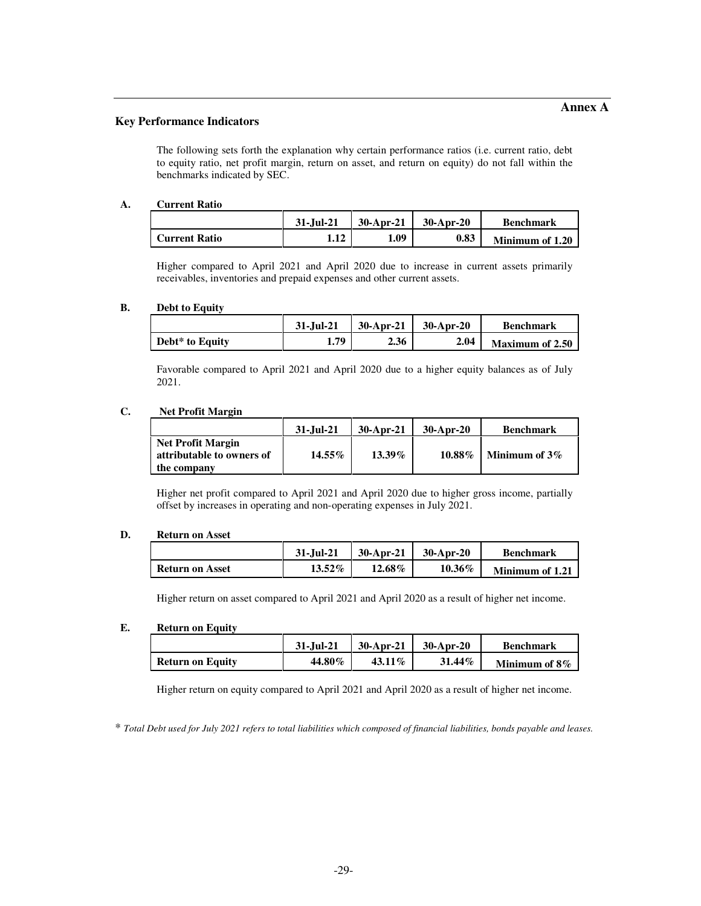#### **Key Performance Indicators**

The following sets forth the explanation why certain performance ratios (i.e. current ratio, debt to equity ratio, net profit margin, return on asset, and return on equity) do not fall within the benchmarks indicated by SEC.

#### **A. Current Ratio**

|                      | 31-Jul-21 | 30-Apr-21 | $30-Apr-20$ | <b>Benchmark</b> |
|----------------------|-----------|-----------|-------------|------------------|
| <b>Current Ratio</b> | 1.12      | 1.09      | 0.83        | Minimum of 1.20  |

Higher compared to April 2021 and April 2020 due to increase in current assets primarily receivables, inventories and prepaid expenses and other current assets.

#### **B. Debt to Equity**

|                 | 31-Jul-21 | $30-Apr-21$ | $30-Apr-20$ | <b>Benchmark</b>       |
|-----------------|-----------|-------------|-------------|------------------------|
| Debt* to Equity | 1.79      | 2.36        | 2.04        | <b>Maximum of 2.50</b> |

Favorable compared to April 2021 and April 2020 due to a higher equity balances as of July 2021.

#### **C. Net Profit Margin**

|                                                                      | $31 - Iul - 21$ | $30$ -Apr-21 | $30$ -Apr-20 | <b>Benchmark</b> |
|----------------------------------------------------------------------|-----------------|--------------|--------------|------------------|
| <b>Net Profit Margin</b><br>attributable to owners of<br>the company | $14.55\%$       | 13.39%       | $10.88\%$    | Minimum of $3\%$ |

Higher net profit compared to April 2021 and April 2020 due to higher gross income, partially offset by increases in operating and non-operating expenses in July 2021.

#### **D. Return on Asset**

|                        | 31-Jul-21 | $30$ -Apr-21 | $30$ -Apr-20 | <b>Benchmark</b> |
|------------------------|-----------|--------------|--------------|------------------|
| <b>Return on Asset</b> | $13.52\%$ | 12.68%       | 10.36%       | Minimum of 1.21  |

Higher return on asset compared to April 2021 and April 2020 as a result of higher net income.

#### **E. Return on Equity**

|                         | 31-Jul-21 | $30-Apr-21$ | $30$ -Apr-20 | <b>Benchmark</b> |
|-------------------------|-----------|-------------|--------------|------------------|
| <b>Return on Equity</b> | 44.80%    | $43.11\%$   | $31.44\%$    | Minimum of 8\%   |

Higher return on equity compared to April 2021 and April 2020 as a result of higher net income.

\* *Total Debt used for July 2021 refers to total liabilities which composed of financial liabilities, bonds payable and leases.*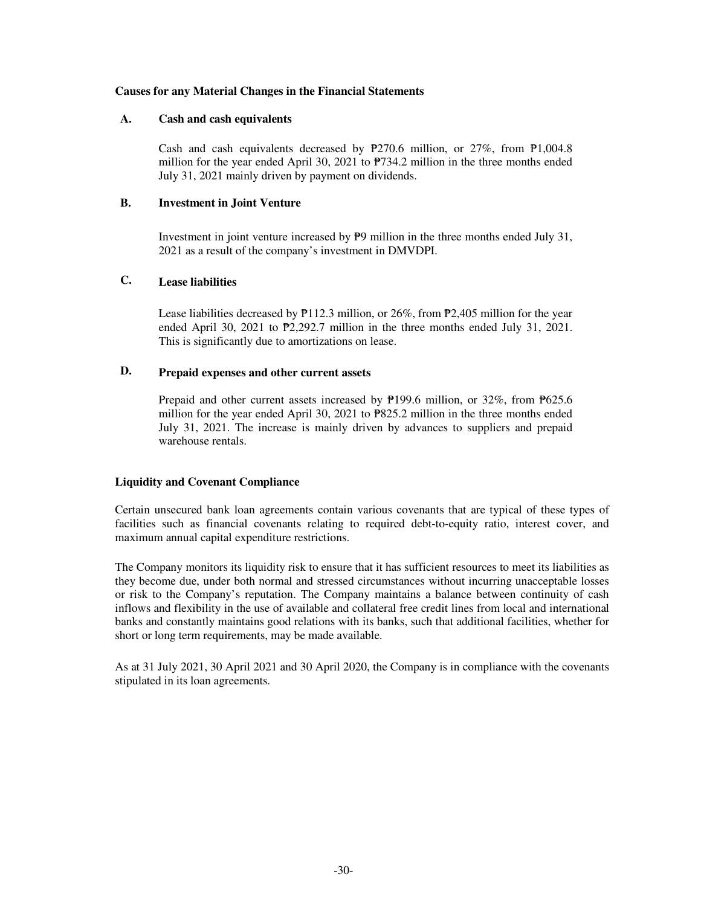#### **Causes for any Material Changes in the Financial Statements**

#### **A. Cash and cash equivalents**

Cash and cash equivalents decreased by ₱270.6 million, or 27%, from ₱1,004.8 million for the year ended April 30, 2021 to ₱734.2 million in the three months ended July 31, 2021 mainly driven by payment on dividends.

#### **B. Investment in Joint Venture**

Investment in joint venture increased by  $\overline{P}9$  million in the three months ended July 31, 2021 as a result of the company's investment in DMVDPI.

## **C. Lease liabilities**

Lease liabilities decreased by  $P112.3$  million, or 26%, from  $P2,405$  million for the year ended April 30, 2021 to  $\mathbb{P}2,292.7$  million in the three months ended July 31, 2021. This is significantly due to amortizations on lease.

## **D. Prepaid expenses and other current assets**

Prepaid and other current assets increased by ₱199.6 million, or 32%, from ₱625.6 million for the year ended April 30, 2021 to  $P$ 825.2 million in the three months ended July 31, 2021. The increase is mainly driven by advances to suppliers and prepaid warehouse rentals.

#### **Liquidity and Covenant Compliance**

Certain unsecured bank loan agreements contain various covenants that are typical of these types of facilities such as financial covenants relating to required debt-to-equity ratio, interest cover, and maximum annual capital expenditure restrictions.

The Company monitors its liquidity risk to ensure that it has sufficient resources to meet its liabilities as they become due, under both normal and stressed circumstances without incurring unacceptable losses or risk to the Company's reputation. The Company maintains a balance between continuity of cash inflows and flexibility in the use of available and collateral free credit lines from local and international banks and constantly maintains good relations with its banks, such that additional facilities, whether for short or long term requirements, may be made available.

As at 31 July 2021, 30 April 2021 and 30 April 2020, the Company is in compliance with the covenants stipulated in its loan agreements.